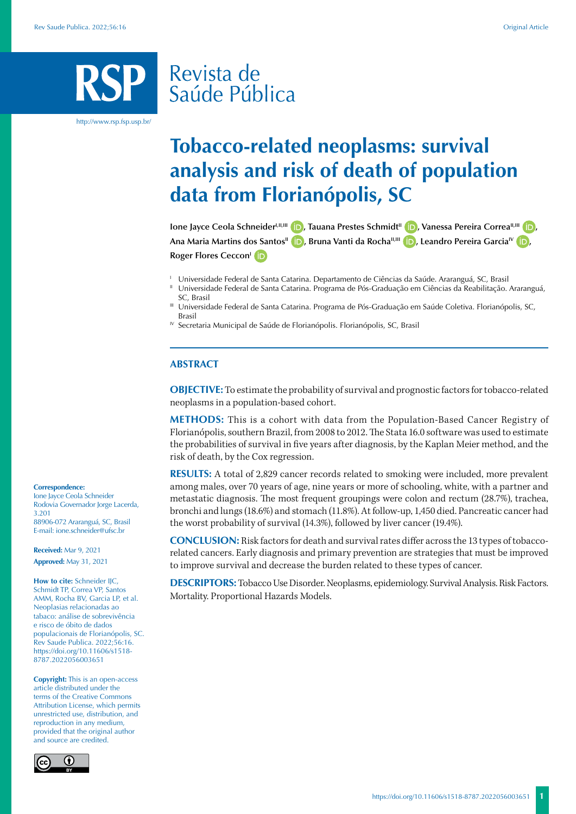# Revista de Saúde Pública

http://www.rsp.fsp.usp.br/

# **Tobacco-related neoplasms: survival analysis and risk of death of population data from Florianópolis, SC**

**Ione Jayce Ceola Schneider<sup>LII[,](https://orcid.org/0000-0001-6339-7832)III</sup> <b>iD**[,](https://orcid.org/0000-0002-8972-2231) Tauana Prestes Schmidt<sup>II</sup> **iD**, Vanessa Pereira Correa<sup>II,III</sup> **iD**, **Ana Maria Martins dos Santos<sup>II</sup> <b>D**[,](https://orcid.org/0000-0001-8321-2700) Bruna Vanti da Rocha<sup>II[,](https://orcid.org/0000-0002-8601-7166)III</sup> **D**, Leandro Pereira Garcia<sup>IV</sup> **D**, **Roger Flores Ceccon<sup>1</sup> ID** 

- <sup>1</sup> Universidade Federal de Santa Catarina. Departamento de Ciências da Saúde. Araranguá, SC, Brasil
- II Universidade Federal de Santa Catarina. Programa de Pós-Graduação em Ciências da Reabilitação. Araranguá, SC, Brasil
- III Universidade Federal de Santa Catarina. Programa de Pós-Graduação em Saúde Coletiva. Florianópolis, SC, Brasil
- $N$  Secretaria Municipal de Saúde de Florianópolis. Florianópolis, SC, Brasil

### **ABSTRACT**

**OBJECTIVE:** To estimate the probability of survival and prognostic factors for tobacco-related neoplasms in a population-based cohort.

**METHODS:** This is a cohort with data from the Population-Based Cancer Registry of Florianópolis, southern Brazil, from 2008 to 2012. The Stata 16.0 software was used to estimate the probabilities of survival in five years after diagnosis, by the Kaplan Meier method, and the risk of death, by the Cox regression.

**RESULTS:** A total of 2,829 cancer records related to smoking were included, more prevalent among males, over 70 years of age, nine years or more of schooling, white, with a partner and metastatic diagnosis. The most frequent groupings were colon and rectum (28.7%), trachea, bronchi and lungs (18.6%) and stomach (11.8%). At follow-up, 1,450 died. Pancreatic cancer had the worst probability of survival (14.3%), followed by liver cancer (19.4%).

**CONCLUSION:** Risk factors for death and survival rates differ across the 13 types of tobaccorelated cancers. Early diagnosis and primary prevention are strategies that must be improved to improve survival and decrease the burden related to these types of cancer.

**DESCRIPTORS:** Tobacco Use Disorder. Neoplasms, epidemiology. Survival Analysis. Risk Factors. Mortality. Proportional Hazards Models.

# **Correspondence:**

Ione Jayce Ceola Schneider Rodovia Governador Jorge Lacerda, 3.201 88906-072 Araranguá, SC, Brasil E-mail: ione.schneider@ufsc.br

**Received:** Mar 9, 2021 **Approved:** May 31, 2021

**How to cite:** Schneider IIC, Schmidt TP, Correa VP, Santos AMM, Rocha BV, Garcia LP, et al. Neoplasias relacionadas ao tabaco: análise de sobrevivência e risco de óbito de dados populacionais de Florianópolis, SC. Rev Saude Publica. 2022;56:16. https://doi.org/10.11606/s1518- 8787.2022056003651

**Copyright:** This is an open-access article distributed under the terms of the Creative Commons Attribution License, which permits unrestricted use, distribution, and reproduction in any medium, provided that the original author and source are credited.

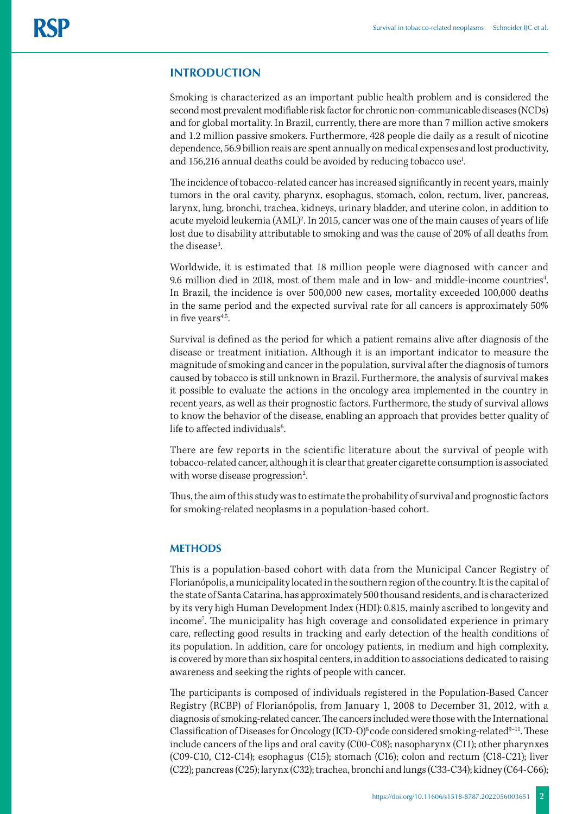# **INTRODUCTION**

Smoking is characterized as an important public health problem and is considered the second most prevalent modifiable risk factor for chronic non-communicable diseases (NCDs) and for global mortality. In Brazil, currently, there are more than 7 million active smokers and 1.2 million passive smokers. Furthermore, 428 people die daily as a result of nicotine dependence, 56.9 billion reais are spent annually on medical expenses and lost productivity, and 156,216 annual deaths could be avoided by reducing tobacco use<sup>1</sup>. .

The incidence of tobacco-related cancer has increased significantly in recent years, mainly tumors in the oral cavity, pharynx, esophagus, stomach, colon, rectum, liver, pancreas, larynx, lung, bronchi, trachea, kidneys, urinary bladder, and uterine colon, in addition to acute myeloid leukemia (AML)<sup>2</sup>. In 2015, cancer was one of the main causes of years of life lost due to disability attributable to smoking and was the cause of 20% of all deaths from the disease<sup>3</sup>. .

Worldwide, it is estimated that 18 million people were diagnosed with cancer and 9.6 million died in 2018, most of them male and in low- and middle-income countries<sup>4</sup>. In Brazil, the incidence is over 500,000 new cases, mortality exceeded 100,000 deaths in the same period and the expected survival rate for all cancers is approximately 50% in five years $4.5$ .

Survival is defined as the period for which a patient remains alive after diagnosis of the disease or treatment initiation. Although it is an important indicator to measure the magnitude of smoking and cancer in the population, survival after the diagnosis of tumors caused by tobacco is still unknown in Brazil. Furthermore, the analysis of survival makes it possible to evaluate the actions in the oncology area implemented in the country in recent years, as well as their prognostic factors. Furthermore, the study of survival allows to know the behavior of the disease, enabling an approach that provides better quality of life to affected individuals<sup>6</sup>. .

There are few reports in the scientific literature about the survival of people with tobacco-related cancer, although it is clear that greater cigarette consumption is associated with worse disease progression<sup>2</sup>. .

Thus, the aim of this study was to estimate the probability of survival and prognostic factors for smoking-related neoplasms in a population-based cohort.

# **METHODS**

This is a population-based cohort with data from the Municipal Cancer Registry of Florianópolis, a municipality located in the southern region of the country. It is the capital of the state of Santa Catarina, has approximately 500 thousand residents, and is characterized by its very high Human Development Index (HDI): 0.815, mainly ascribed to longevity and income7 . The municipality has high coverage and consolidated experience in primary care, reflecting good results in tracking and early detection of the health conditions of its population. In addition, care for oncology patients, in medium and high complexity, is covered by more than six hospital centers, in addition to associations dedicated to raising awareness and seeking the rights of people with cancer.

The participants is composed of individuals registered in the Population-Based Cancer Registry (RCBP) of Florianópolis, from January 1, 2008 to December 31, 2012, with a diagnosis of smoking-related cancer. The cancers included were those with the International Classification of Diseases for Oncology (ICD-O)<sup>8</sup> code considered smoking-related<sup>9-11</sup>. These include cancers of the lips and oral cavity (C00-C08); nasopharynx (C11); other pharynxes (C09-C10, C12-C14); esophagus (C15); stomach (C16); colon and rectum (C18-C21); liver (C22); pancreas (C25); larynx (C32); trachea, bronchi and lungs (C33-C34); kidney (C64-C66);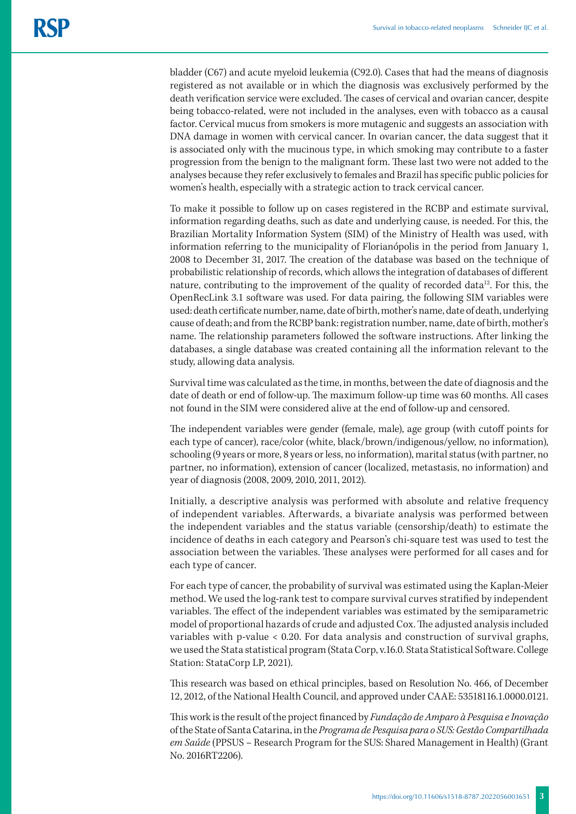bladder (C67) and acute myeloid leukemia (C92.0). Cases that had the means of diagnosis registered as not available or in which the diagnosis was exclusively performed by the death verification service were excluded. The cases of cervical and ovarian cancer, despite being tobacco-related, were not included in the analyses, even with tobacco as a causal factor. Cervical mucus from smokers is more mutagenic and suggests an association with DNA damage in women with cervical cancer. In ovarian cancer, the data suggest that it is associated only with the mucinous type, in which smoking may contribute to a faster progression from the benign to the malignant form. These last two were not added to the analyses because they refer exclusively to females and Brazil has specific public policies for women's health, especially with a strategic action to track cervical cancer.

To make it possible to follow up on cases registered in the RCBP and estimate survival, information regarding deaths, such as date and underlying cause, is needed. For this, the Brazilian Mortality Information System (SIM) of the Ministry of Health was used, with information referring to the municipality of Florianópolis in the period from January 1, 2008 to December 31, 2017. The creation of the database was based on the technique of probabilistic relationship of records, which allows the integration of databases of different nature, contributing to the improvement of the quality of recorded data<sup>12</sup>. For this, the OpenRecLink 3.1 software was used. For data pairing, the following SIM variables were used: death certificate number, name, date of birth, mother's name, date of death, underlying cause of death; and from the RCBP bank: registration number, name, date of birth, mother's name. The relationship parameters followed the software instructions. After linking the databases, a single database was created containing all the information relevant to the study, allowing data analysis.

Survival time was calculated as the time, in months, between the date of diagnosis and the date of death or end of follow-up. The maximum follow-up time was 60 months. All cases not found in the SIM were considered alive at the end of follow-up and censored.

The independent variables were gender (female, male), age group (with cutoff points for each type of cancer), race/color (white, black/brown/indigenous/yellow, no information), schooling (9 years or more, 8 years or less, no information), marital status (with partner, no partner, no information), extension of cancer (localized, metastasis, no information) and year of diagnosis (2008, 2009, 2010, 2011, 2012).

Initially, a descriptive analysis was performed with absolute and relative frequency of independent variables. Afterwards, a bivariate analysis was performed between the independent variables and the status variable (censorship/death) to estimate the incidence of deaths in each category and Pearson's chi-square test was used to test the association between the variables. These analyses were performed for all cases and for each type of cancer.

For each type of cancer, the probability of survival was estimated using the Kaplan-Meier method. We used the log-rank test to compare survival curves stratified by independent variables. The effect of the independent variables was estimated by the semiparametric model of proportional hazards of crude and adjusted Cox. The adjusted analysis included variables with p-value < 0.20. For data analysis and construction of survival graphs, we used the Stata statistical program (Stata Corp, v.16.0. Stata Statistical Software. College Station: StataCorp LP, 2021).

This research was based on ethical principles, based on Resolution No. 466, of December 12, 2012, of the National Health Council, and approved under CAAE: 53518116.1.0000.0121.

This work is the result of the project financed by *Fundação de Amparo à Pesquisa e Inovação* of the State of Santa Catarina, in the *Programa de Pesquisa para o SUS: Gestão Compartilhada em Saúde* (PPSUS – Research Program for the SUS: Shared Management in Health) (Grant No. 2016RT2206).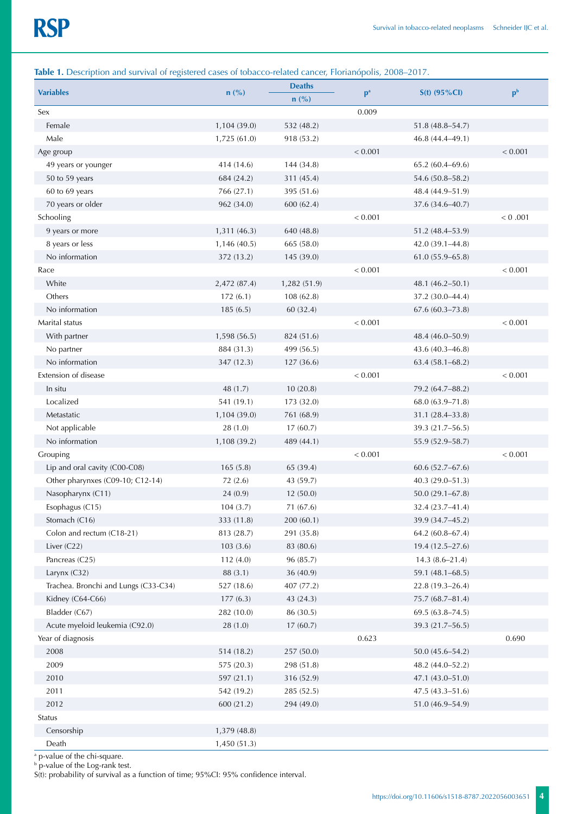# **Table 1.** Description and survival of registered cases of tobacco-related cancer, Florianópolis, 2008–2017.

| <b>Variables</b>                     | $n$ (%)      | <b>Deaths</b><br>$n(^{0}/_{0})$ | p <sup>a</sup> | $S(t)$ (95%Cl)      | p <sub>b</sub> |
|--------------------------------------|--------------|---------------------------------|----------------|---------------------|----------------|
| Sex                                  |              |                                 | 0.009          |                     |                |
| Female                               | 1,104 (39.0) | 532 (48.2)                      |                | $51.8(48.8 - 54.7)$ |                |
| Male                                 | 1,725 (61.0) | 918 (53.2)                      |                | 46.8 (44.4-49.1)    |                |
| Age group                            |              |                                 | < 0.001        |                     | < 0.001        |
| 49 years or younger                  | 414 (14.6)   | 144 (34.8)                      |                | $65.2(60.4 - 69.6)$ |                |
| 50 to 59 years                       | 684 (24.2)   | 311 (45.4)                      |                | 54.6 (50.8-58.2)    |                |
| 60 to 69 years                       | 766 (27.1)   | 395 (51.6)                      |                | 48.4 (44.9-51.9)    |                |
| 70 years or older                    | 962 (34.0)   | 600 (62.4)                      |                | 37.6 (34.6-40.7)    |                |
| Schooling                            |              |                                 | < 0.001        |                     | < 0.001        |
| 9 years or more                      | 1,311(46.3)  | 640 (48.8)                      |                | 51.2 (48.4-53.9)    |                |
| 8 years or less                      | 1,146 (40.5) | 665 (58.0)                      |                | 42.0 (39.1-44.8)    |                |
| No information                       | 372 (13.2)   | 145 (39.0)                      |                | $61.0(55.9 - 65.8)$ |                |
| Race                                 |              |                                 | < 0.001        |                     | < 0.001        |
| White                                | 2,472 (87.4) | 1,282 (51.9)                    |                | 48.1 (46.2-50.1)    |                |
| Others                               | 172(6.1)     | 108 (62.8)                      |                | 37.2 (30.0-44.4)    |                |
| No information                       | 185(6.5)     | 60 (32.4)                       |                | $67.6(60.3 - 73.8)$ |                |
| Marital status                       |              |                                 | < 0.001        |                     | < 0.001        |
| With partner                         | 1,598 (56.5) | 824 (51.6)                      |                | 48.4 (46.0-50.9)    |                |
| No partner                           | 884 (31.3)   | 499 (56.5)                      |                | 43.6 (40.3-46.8)    |                |
| No information                       | 347 (12.3)   | 127 (36.6)                      |                | $63.4(58.1 - 68.2)$ |                |
| Extension of disease                 |              |                                 | < 0.001        |                     | < 0.001        |
| In situ                              | 48 (1.7)     | 10(20.8)                        |                | 79.2 (64.7-88.2)    |                |
| Localized                            | 541 (19.1)   | 173 (32.0)                      |                | 68.0 (63.9-71.8)    |                |
| Metastatic                           | 1,104 (39.0) | 761 (68.9)                      |                | 31.1 (28.4-33.8)    |                |
| Not applicable                       | 28(1.0)      | 17(60.7)                        |                | 39.3 (21.7-56.5)    |                |
| No information                       | 1,108 (39.2) | 489 (44.1)                      |                | 55.9 (52.9-58.7)    |                |
| Grouping                             |              |                                 | < 0.001        |                     | < 0.001        |
| Lip and oral cavity (C00-C08)        | 165(5.8)     | 65 (39.4)                       |                | $60.6(52.7 - 67.6)$ |                |
| Other pharynxes (C09-10; C12-14)     | 72 (2.6)     | 43 (59.7)                       |                | $40.3(29.0 - 51.3)$ |                |
| Nasopharynx (C11)                    | 24(0.9)      | 12(50.0)                        |                | $50.0(29.1 - 67.8)$ |                |
| Esophagus (C15)                      | 104(3.7)     | 71 (67.6)                       |                | 32.4 (23.7-41.4)    |                |
| Stomach (C16)                        | 333 (11.8)   | 200 (60.1)                      |                | 39.9 (34.7-45.2)    |                |
| Colon and rectum (C18-21)            | 813 (28.7)   | 291 (35.8)                      |                | 64.2 (60.8-67.4)    |                |
| Liver $(C22)$                        | 103(3.6)     | 83 (80.6)                       |                | 19.4 (12.5-27.6)    |                |
| Pancreas (C25)                       | 112 (4.0)    | 96 (85.7)                       |                | $14.3(8.6 - 21.4)$  |                |
| Larynx (C32)                         | 88 (3.1)     | 36 (40.9)                       |                | 59.1 (48.1-68.5)    |                |
| Trachea. Bronchi and Lungs (C33-C34) | 527 (18.6)   | 407 (77.2)                      |                | $22.8(19.3 - 26.4)$ |                |
| Kidney (C64-C66)                     | 177(6.3)     | 43 (24.3)                       |                | 75.7 (68.7-81.4)    |                |
| Bladder (C67)                        | 282 (10.0)   | 86 (30.5)                       |                | 69.5 (63.8-74.5)    |                |
| Acute myeloid leukemia (C92.0)       | 28(1.0)      | 17(60.7)                        |                | 39.3 (21.7-56.5)    |                |
| Year of diagnosis                    |              |                                 | 0.623          |                     | 0.690          |
| 2008                                 | 514 (18.2)   | 257 (50.0)                      |                | 50.0 (45.6-54.2)    |                |
| 2009                                 | 575 (20.3)   | 298 (51.8)                      |                | 48.2 (44.0-52.2)    |                |
| 2010                                 | 597 (21.1)   | 316 (52.9)                      |                | 47.1 (43.0-51.0)    |                |
| 2011                                 | 542 (19.2)   | 285 (52.5)                      |                | $47.5(43.3 - 51.6)$ |                |
| 2012                                 | 600 (21.2)   | 294 (49.0)                      |                | 51.0 (46.9-54.9)    |                |
| Status                               |              |                                 |                |                     |                |
| Censorship                           | 1,379 (48.8) |                                 |                |                     |                |
| Death                                | 1,450 (51.3) |                                 |                |                     |                |

a p-value of the chi-square.

b p-value of the Log-rank test.

S(t): probability of survival as a function of time; 95%CI: 95% confidence interval.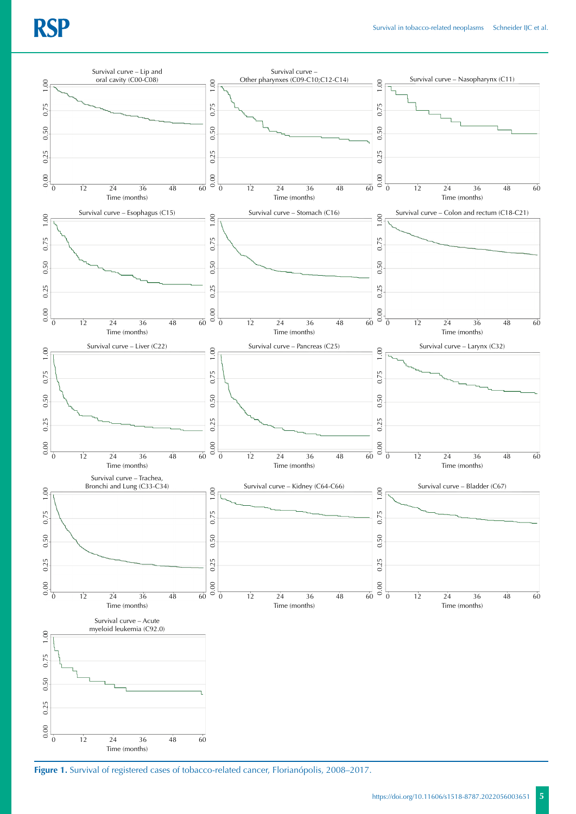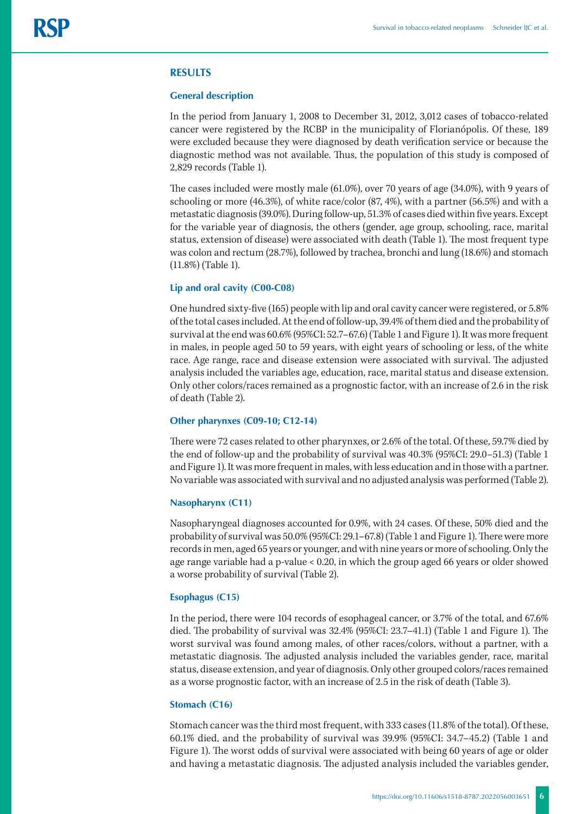#### **RESULTS**

#### **General description**

In the period from January 1, 2008 to December 31, 2012, 3,012 cases of tobacco-related cancer were registered by the RCBP in the municipality of Florianópolis. Of these, 189 were excluded because they were diagnosed by death verification service or because the diagnostic method was not available. Thus, the population of this study is composed of 2,829 records (Table 1).

The cases included were mostly male (61.0%), over 70 years of age (34.0%), with 9 years of schooling or more (46.3%), of white race/color (87, 4%), with a partner (56.5%) and with a metastatic diagnosis (39.0%). During follow-up, 51.3% of cases died within five years. Except for the variable year of diagnosis, the others (gender, age group, schooling, race, marital status, extension of disease) were associated with death (Table 1). The most frequent type was colon and rectum (28.7%), followed by trachea, bronchi and lung (18.6%) and stomach (11.8%) (Table 1).

#### **Lip and oral cavity (C00-C08)**

One hundred sixty-five (165) people with lip and oral cavity cancer were registered, or 5.8% of the total cases included. At the end of follow-up, 39.4% of them died and the probability of survival at the end was 60.6% (95%CI: 52.7–67.6) (Table 1 and Figure 1). It was more frequent in males, in people aged 50 to 59 years, with eight years of schooling or less, of the white race. Age range, race and disease extension were associated with survival. The adjusted analysis included the variables age, education, race, marital status and disease extension. Only other colors/races remained as a prognostic factor, with an increase of 2.6 in the risk of death (Table 2).

#### **Other pharynxes (C09-10; C12-14)**

There were 72 cases related to other pharynxes, or 2.6% of the total. Of these, 59.7% died by the end of follow-up and the probability of survival was 40.3% (95%CI: 29.0–51.3) (Table 1 and Figure 1). It was more frequent in males, with less education and in those with a partner. No variable was associated with survival and no adjusted analysis was performed (Table 2).

#### **Nasopharynx (C11)**

Nasopharyngeal diagnoses accounted for 0.9%, with 24 cases. Of these, 50% died and the probability of survival was 50.0% (95%CI: 29.1–67.8) (Table 1 and Figure 1). There were more records in men, aged 65 years or younger, and with nine years or more of schooling. Only the age range variable had a p-value < 0.20, in which the group aged 66 years or older showed a worse probability of survival (Table 2).

# **Esophagus (C15)**

In the period, there were 104 records of esophageal cancer, or 3.7% of the total, and 67.6% died. The probability of survival was 32.4% (95%CI: 23.7–41.1) (Table 1 and Figure 1). The worst survival was found among males, of other races/colors, without a partner, with a metastatic diagnosis. The adjusted analysis included the variables gender, race, marital status, disease extension, and year of diagnosis. Only other grouped colors/races remained as a worse prognostic factor, with an increase of 2.5 in the risk of death (Table 3).

#### **Stomach (C16)**

Stomach cancer was the third most frequent, with 333 cases (11.8% of the total). Of these, 60.1% died, and the probability of survival was 39.9% (95%CI: 34.7–45.2) (Table 1 and Figure 1). The worst odds of survival were associated with being 60 years of age or older and having a metastatic diagnosis. The adjusted analysis included the variables gender,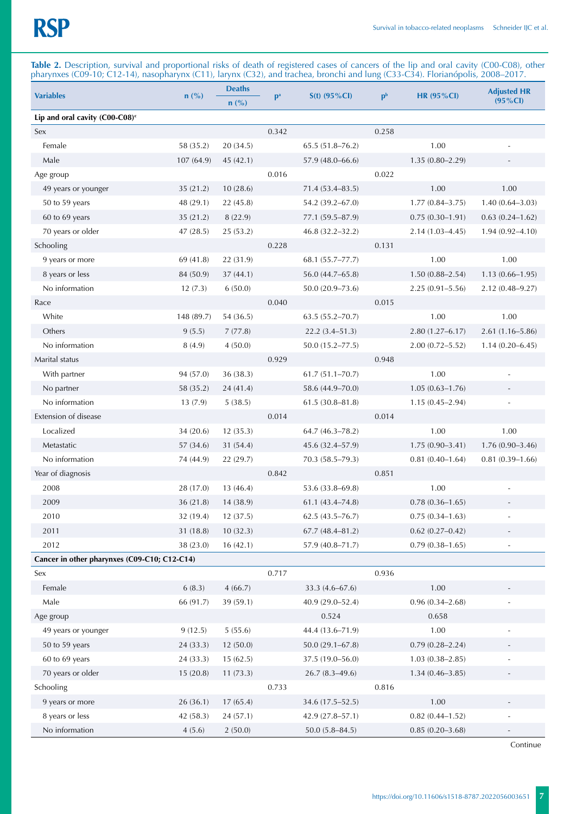**Table 2.** Description, survival and proportional risks of death of registered cases of cancers of the lip and oral cavity (C00-C08), other pharynxes (C09-10; C12-14), nasopharynx (C11), larynx (C32), and trachea, bronchi and lung (C33-C34). Florianópolis, 2008–2017.

| <b>Variables</b>                             | $n(^{0}/_{0})$ | <b>Deaths</b> | p <sup>a</sup> | $S(t)$ (95%CI)      | $\mathbf{p}^{\mathrm{b}}$ | <b>HR (95%CI)</b>      | <b>Adjusted HR</b>       |
|----------------------------------------------|----------------|---------------|----------------|---------------------|---------------------------|------------------------|--------------------------|
|                                              |                | $n$ (%)       |                |                     |                           |                        | $(95\% CI)$              |
| Lip and oral cavity $(C00-C08)^c$            |                |               |                |                     |                           |                        |                          |
| Sex                                          |                |               | 0.342          |                     | 0.258                     |                        |                          |
| Female                                       | 58 (35.2)      | 20 (34.5)     |                | 65.5 (51.8-76.2)    |                           | 1.00                   |                          |
| Male                                         | 107(64.9)      | 45(42.1)      |                | $57.9(48.0 - 66.6)$ |                           | $1.35(0.80 - 2.29)$    |                          |
| Age group                                    |                |               | 0.016          |                     | 0.022                     |                        |                          |
| 49 years or younger                          | 35(21.2)       | 10(28.6)      |                | $71.4(53.4 - 83.5)$ |                           | 1.00                   | 1.00                     |
| 50 to 59 years                               | 48 (29.1)      | 22 (45.8)     |                | 54.2 (39.2-67.0)    |                           | $1.77(0.84 - 3.75)$    | $1.40(0.64 - 3.03)$      |
| 60 to 69 years                               | 35(21.2)       | 8 (22.9)      |                | 77.1 (59.5-87.9)    |                           | $0.75(0.30-1.91)$      | $0.63(0.24 - 1.62)$      |
| 70 years or older                            | 47(28.5)       | 25 (53.2)     |                | 46.8 (32.2-32.2)    |                           | $2.14(1.03 - 4.45)$    | $1.94(0.92 - 4.10)$      |
| Schooling                                    |                |               | 0.228          |                     | 0.131                     |                        |                          |
| 9 years or more                              | 69 (41.8)      | 22 (31.9)     |                | 68.1 (55.7–77.7)    |                           | 1.00                   | 1.00                     |
| 8 years or less                              | 84 (50.9)      | 37(44.1)      |                | 56.0 (44.7-65.8)    |                           | $1.50(0.88 - 2.54)$    | $1.13(0.66 - 1.95)$      |
| No information                               | 12(7.3)        | 6(50.0)       |                | $50.0(20.9 - 73.6)$ |                           | $2.25(0.91 - 5.56)$    | $2.12(0.48 - 9.27)$      |
| Race                                         |                |               | 0.040          |                     | 0.015                     |                        |                          |
| White                                        | 148 (89.7)     | 54 (36.5)     |                | $63.5(55.2 - 70.7)$ |                           | 1.00                   | 1.00                     |
| Others                                       | 9(5.5)         | 7(77.8)       |                | $22.2(3.4 - 51.3)$  |                           | $2.80(1.27 - 6.17)$    | $2.61(1.16 - 5.86)$      |
| No information                               | 8(4.9)         | 4(50.0)       |                | $50.0(15.2 - 77.5)$ |                           | $2.00(0.72 - 5.52)$    | $1.14(0.20 - 6.45)$      |
| Marital status                               |                |               | 0.929          |                     | 0.948                     |                        |                          |
| With partner                                 | 94 (57.0)      | 36 (38.3)     |                | $61.7(51.1 - 70.7)$ |                           | 1.00                   |                          |
| No partner                                   | 58 (35.2)      | 24 (41.4)     |                | 58.6 (44.9-70.0)    |                           | $1.05(0.63 - 1.76)$    | $\overline{\phantom{a}}$ |
| No information                               | 13(7.9)        | 5(38.5)       |                | $61.5(30.8 - 81.8)$ |                           | $1.15(0.45 - 2.94)$    |                          |
| Extension of disease                         |                |               | 0.014          |                     | 0.014                     |                        |                          |
| Localized                                    | 34(20.6)       | 12(35.3)      |                | $64.7(46.3 - 78.2)$ |                           | 1.00                   | 1.00                     |
| Metastatic                                   | 57 (34.6)      | 31 (54.4)     |                | 45.6 (32.4–57.9)    |                           | $1.75(0.90 - 3.41)$    | $1.76(0.90-3.46)$        |
| No information                               | 74 (44.9)      | 22(29.7)      |                | $70.3(58.5 - 79.3)$ |                           | $0.81(0.40-1.64)$      | $0.81(0.39-1.66)$        |
| Year of diagnosis                            |                |               | 0.842          |                     | 0.851                     |                        |                          |
| 2008                                         | 28 (17.0)      | 13 (46.4)     |                | 53.6 (33.8-69.8)    |                           | 1.00                   |                          |
| 2009                                         | 36(21.8)       | 14 (38.9)     |                | $61.1(43.4 - 74.8)$ |                           | $0.78(0.36 - 1.65)$    |                          |
| 2010                                         | 32 (19.4)      | 12(37.5)      |                | $62.5(43.5 - 76.7)$ |                           | $0.75(0.34-1.63)$      |                          |
| 2011                                         | 31(18.8)       | 10(32.3)      |                | $67.7(48.4 - 81.2)$ |                           | $0.62$ $(0.27 - 0.42)$ |                          |
| 2012                                         | 38 (23.0)      | 16(42.1)      |                | 57.9 (40.8-71.7)    |                           | $0.79(0.38 - 1.65)$    | $\overline{\phantom{m}}$ |
| Cancer in other pharynxes (C09-C10; C12-C14) |                |               |                |                     |                           |                        |                          |
| Sex                                          |                |               | 0.717          |                     | 0.936                     |                        |                          |
| Female                                       | 6(8.3)         | 4(66.7)       |                | $33.3(4.6 - 67.6)$  |                           | 1.00                   |                          |
| Male                                         | 66 (91.7)      | 39 (59.1)     |                | 40.9 (29.0-52.4)    |                           | $0.96(0.34 - 2.68)$    |                          |
| Age group                                    |                |               |                | 0.524               |                           | 0.658                  |                          |
| 49 years or younger                          | 9(12.5)        | 5(55.6)       |                | 44.4 (13.6-71.9)    |                           | 1.00                   |                          |
| 50 to 59 years                               | 24 (33.3)      | 12 (50.0)     |                | $50.0(29.1 - 67.8)$ |                           | $0.79(0.28 - 2.24)$    |                          |
| 60 to 69 years                               | 24 (33.3)      | 15(62.5)      |                | 37.5 (19.0-56.0)    |                           | $1.03(0.38 - 2.85)$    |                          |
| 70 years or older                            | 15(20.8)       | 11(73.3)      |                | $26.7(8.3-49.6)$    |                           | $1.34(0.46 - 3.85)$    |                          |
| Schooling                                    |                |               | 0.733          |                     | 0.816                     |                        |                          |
| 9 years or more                              | 26(36.1)       | 17(65.4)      |                | 34.6 (17.5-52.5)    |                           | 1.00                   |                          |
| 8 years or less                              | 42 (58.3)      | 24 (57.1)     |                | 42.9 (27.8-57.1)    |                           | $0.82(0.44 - 1.52)$    |                          |
| No information                               | 4(5.6)         | 2(50.0)       |                | $50.0(5.8 - 84.5)$  |                           | $0.85(0.20 - 3.68)$    | ۰                        |
|                                              |                |               |                |                     |                           |                        |                          |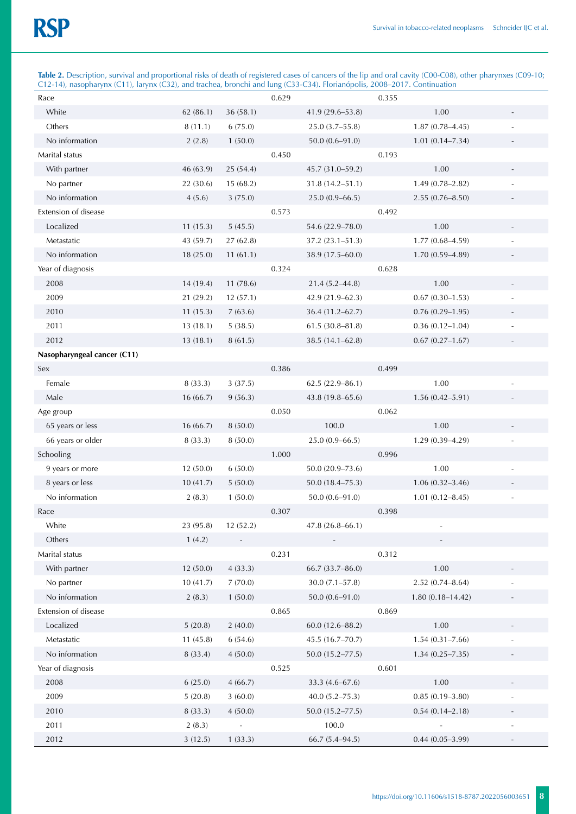**Table 2.** Description, survival and proportional risks of death of registered cases of cancers of the lip and oral cavity (C00-C08), other pharynxes (C09-10; C12-14), nasopharynx (C11), larynx (C32), and trachea, bronchi and lung (C33-C34). Florianópolis, 2008–2017. Continuation

| Race                        |           |           | 0.629 |                     | 0.355 |                      |                          |
|-----------------------------|-----------|-----------|-------|---------------------|-------|----------------------|--------------------------|
| White                       | 62(86.1)  | 36(58.1)  |       | 41.9 (29.6-53.8)    |       | 1.00                 |                          |
| Others                      | 8(11.1)   | 6(75.0)   |       | 25.0 (3.7-55.8)     |       | $1.87(0.78 - 4.45)$  |                          |
| No information              | 2(2.8)    | 1(50.0)   |       | $50.0(0.6 - 91.0)$  |       | $1.01(0.14 - 7.34)$  |                          |
| Marital status              |           |           | 0.450 |                     | 0.193 |                      |                          |
| With partner                | 46 (63.9) | 25(54.4)  |       | 45.7 (31.0-59.2)    |       | 1.00                 |                          |
| No partner                  | 22 (30.6) | 15(68.2)  |       | $31.8(14.2 - 51.1)$ |       | $1.49(0.78 - 2.82)$  |                          |
| No information              | 4(5.6)    | 3(75.0)   |       | $25.0(0.9 - 66.5)$  |       | $2.55(0.76 - 8.50)$  |                          |
| Extension of disease        |           |           | 0.573 |                     | 0.492 |                      |                          |
| Localized                   | 11(15.3)  | 5(45.5)   |       | 54.6 (22.9-78.0)    |       | 1.00                 |                          |
| Metastatic                  | 43 (59.7) | 27 (62.8) |       | $37.2(23.1 - 51.3)$ |       | $1.77(0.68 - 4.59)$  |                          |
| No information              | 18 (25.0) | 11(61.1)  |       | 38.9 (17.5-60.0)    |       | $1.70(0.59 - 4.89)$  |                          |
| Year of diagnosis           |           |           | 0.324 |                     | 0.628 |                      |                          |
| 2008                        | 14 (19.4) | 11(78.6)  |       | $21.4(5.2 - 44.8)$  |       | 1.00                 |                          |
| 2009                        | 21 (29.2) | 12(57.1)  |       | $42.9(21.9-62.3)$   |       | $0.67(0.30-1.53)$    |                          |
| 2010                        | 11(15.3)  | 7(63.6)   |       | 36.4 (11.2-62.7)    |       | $0.76(0.29 - 1.95)$  |                          |
| 2011                        | 13(18.1)  | 5(38.5)   |       | $61.5(30.8 - 81.8)$ |       | $0.36(0.12 - 1.04)$  |                          |
| 2012                        | 13(18.1)  | 8(61.5)   |       | 38.5 (14.1-62.8)    |       | $0.67(0.27 - 1.67)$  |                          |
| Nasopharyngeal cancer (C11) |           |           |       |                     |       |                      |                          |
| Sex                         |           |           | 0.386 |                     | 0.499 |                      |                          |
| Female                      | 8 (33.3)  | 3(37.5)   |       | $62.5(22.9 - 86.1)$ |       | 1.00                 |                          |
| Male                        | 16(66.7)  | 9(56.3)   |       | 43.8 (19.8-65.6)    |       | $1.56(0.42 - 5.91)$  |                          |
| Age group                   |           |           | 0.050 |                     | 0.062 |                      |                          |
| 65 years or less            | 16(66.7)  | 8(50.0)   |       | 100.0               |       | 1.00                 |                          |
| 66 years or older           | 8(33.3)   | 8(50.0)   |       | $25.0(0.9 - 66.5)$  |       | $1.29(0.39 - 4.29)$  |                          |
| Schooling                   |           |           | 1.000 |                     | 0.996 |                      |                          |
| 9 years or more             | 12 (50.0) | 6(50.0)   |       | 50.0 (20.9-73.6)    |       | 1.00                 |                          |
| 8 years or less             | 10(41.7)  | 5(50.0)   |       | $50.0(18.4 - 75.3)$ |       | $1.06(0.32 - 3.46)$  |                          |
| No information              | 2(8.3)    | 1(50.0)   |       | $50.0(0.6 - 91.0)$  |       | $1.01(0.12 - 8.45)$  |                          |
| Race                        |           |           | 0.307 |                     | 0.398 |                      |                          |
| White                       | 23 (95.8) | 12 (52.2) |       | 47.8 (26.8-66.1)    |       |                      |                          |
| Others                      | 1(4.2)    |           |       |                     |       |                      |                          |
| Marital status              |           |           | 0.231 |                     | 0.312 |                      |                          |
| With partner                | 12 (50.0) | 4(33.3)   |       | 66.7 (33.7-86.0)    |       | 1.00                 |                          |
| No partner                  | 10(41.7)  | 7(70.0)   |       | $30.0 (7.1 - 57.8)$ |       | $2.52(0.74 - 8.64)$  |                          |
| No information              | 2(8.3)    | 1(50.0)   |       | $50.0(0.6 - 91.0)$  |       | $1.80(0.18 - 14.42)$ |                          |
| Extension of disease        |           |           | 0.865 |                     | 0.869 |                      |                          |
| Localized                   | 5(20.8)   | 2(40.0)   |       | $60.0(12.6 - 88.2)$ |       | 1.00                 |                          |
| Metastatic                  | 11(45.8)  | 6(54.6)   |       | 45.5 (16.7-70.7)    |       | $1.54(0.31 - 7.66)$  |                          |
| No information              | 8 (33.4)  | 4(50.0)   |       | $50.0(15.2 - 77.5)$ |       | $1.34(0.25 - 7.35)$  |                          |
| Year of diagnosis           |           |           | 0.525 |                     | 0.601 |                      |                          |
| 2008                        | 6(25.0)   | 4(66.7)   |       | 33.3 (4.6-67.6)     |       | 1.00                 |                          |
| 2009                        | 5(20.8)   | 3(60.0)   |       | $40.0 (5.2 - 75.3)$ |       | $0.85(0.19 - 3.80)$  |                          |
| 2010                        | 8 (33.3)  | 4(50.0)   |       | $50.0(15.2 - 77.5)$ |       | $0.54(0.14 - 2.18)$  | $\overline{\phantom{a}}$ |
| 2011                        | 2(8.3)    |           |       | 100.0               |       |                      |                          |
| 2012                        | 3(12.5)   | 1(33.3)   |       | $66.7(5.4 - 94.5)$  |       | $0.44(0.05 - 3.99)$  | $\overline{\phantom{a}}$ |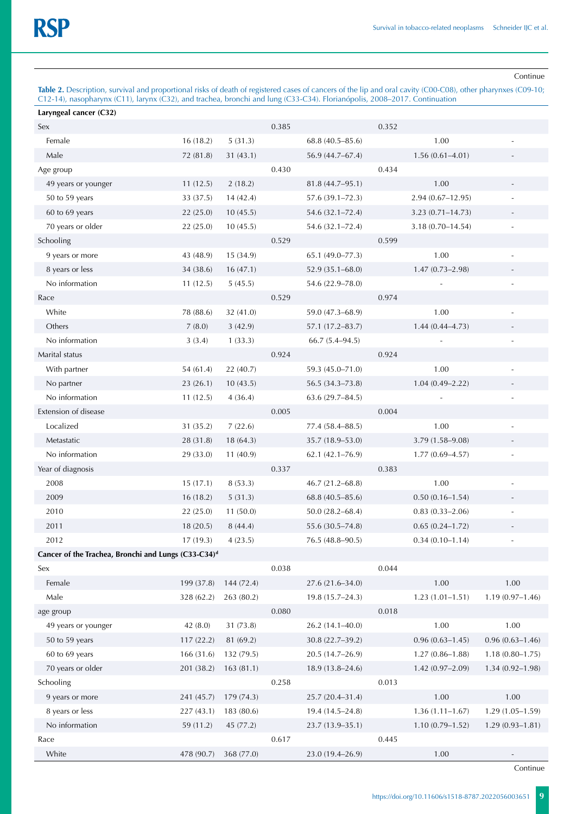Continue

**Table 2.** Description, survival and proportional risks of death of registered cases of cancers of the lip and oral cavity (C00-C08), other pharynxes (C09-10; C12-14), nasopharynx (C11), larynx (C32), and trachea, bronchi and lung (C33-C34). Florianópolis, 2008–2017. Continuation

| Laryngeal cancer (C32)                                          |            |            |       |                      |       |                      |                          |
|-----------------------------------------------------------------|------------|------------|-------|----------------------|-------|----------------------|--------------------------|
| Sex                                                             |            |            | 0.385 |                      | 0.352 |                      |                          |
| Female                                                          | 16(18.2)   | 5(31.3)    |       | $68.8(40.5 - 85.6)$  |       | 1.00                 |                          |
| Male                                                            | 72 (81.8)  | 31(43.1)   |       | 56.9 (44.7–67.4)     |       | $1.56(0.61 - 4.01)$  |                          |
| Age group                                                       |            |            | 0.430 |                      | 0.434 |                      |                          |
| 49 years or younger                                             | 11(12.5)   | 2(18.2)    |       | 81.8 (44.7-95.1)     |       | 1.00                 |                          |
| 50 to 59 years                                                  | 33 (37.5)  | 14(42.4)   |       | 57.6 (39.1-72.3)     |       | 2.94 (0.67-12.95)    |                          |
| 60 to 69 years                                                  | 22(25.0)   | 10(45.5)   |       | 54.6 (32.1-72.4)     |       | $3.23(0.71 - 14.73)$ |                          |
| 70 years or older                                               | 22 (25.0)  | 10(45.5)   |       | 54.6 (32.1-72.4)     |       | $3.18(0.70 - 14.54)$ | ÷,                       |
| Schooling                                                       |            |            | 0.529 |                      | 0.599 |                      |                          |
| 9 years or more                                                 | 43 (48.9)  | 15 (34.9)  |       | 65.1 (49.0-77.3)     |       | 1.00                 |                          |
| 8 years or less                                                 | 34 (38.6)  | 16(47.1)   |       | $52.9(35.1 - 68.0)$  |       | $1.47(0.73 - 2.98)$  |                          |
| No information                                                  | 11(12.5)   | 5(45.5)    |       | 54.6 (22.9-78.0)     |       |                      |                          |
| Race                                                            |            |            | 0.529 |                      | 0.974 |                      |                          |
| White                                                           | 78 (88.6)  | 32 (41.0)  |       | 59.0 (47.3-68.9)     |       | 1.00                 |                          |
| Others                                                          | 7(8.0)     | 3(42.9)    |       | 57.1 (17.2-83.7)     |       | $1.44(0.44 - 4.73)$  |                          |
| No information                                                  | 3(3.4)     | 1(33.3)    |       | $66.7(5.4 - 94.5)$   |       |                      |                          |
| Marital status                                                  |            |            | 0.924 |                      | 0.924 |                      |                          |
| With partner                                                    | 54 (61.4)  | 22 (40.7)  |       | 59.3 (45.0-71.0)     |       | 1.00                 |                          |
| No partner                                                      | 23(26.1)   | 10(43.5)   |       | 56.5 (34.3-73.8)     |       | $1.04(0.49 - 2.22)$  |                          |
| No information                                                  | 11(12.5)   | 4(36.4)    |       | $63.6(29.7 - 84.5)$  |       |                      |                          |
| Extension of disease                                            |            |            | 0.005 |                      | 0.004 |                      |                          |
| Localized                                                       | 31(35.2)   | 7(22.6)    |       | 77.4 (58.4-88.5)     |       | 1.00                 |                          |
| Metastatic                                                      | 28 (31.8)  | 18 (64.3)  |       | 35.7 (18.9-53.0)     |       | 3.79 (1.58-9.08)     |                          |
| No information                                                  | 29 (33.0)  | 11(40.9)   |       | $62.1 (42.1 - 76.9)$ |       | $1.77(0.69 - 4.57)$  |                          |
| Year of diagnosis                                               |            |            | 0.337 |                      | 0.383 |                      |                          |
| 2008                                                            | 15(17.1)   | 8(53.3)    |       | $46.7(21.2 - 68.8)$  |       | 1.00                 |                          |
| 2009                                                            | 16(18.2)   | 5(31.3)    |       | 68.8 (40.5-85.6)     |       | $0.50(0.16 - 1.54)$  |                          |
| 2010                                                            | 22 (25.0)  | 11(50.0)   |       | $50.0(28.2 - 68.4)$  |       | $0.83(0.33 - 2.06)$  |                          |
| 2011                                                            | 18(20.5)   | 8(44.4)    |       | 55.6 (30.5-74.8)     |       | $0.65(0.24 - 1.72)$  |                          |
| 2012                                                            | 17(19.3)   | 4(23.5)    |       | 76.5 (48.8-90.5)     |       | $0.34(0.10 - 1.14)$  |                          |
| Cancer of the Trachea, Bronchi and Lungs (C33-C34) <sup>d</sup> |            |            |       |                      |       |                      |                          |
| Sex                                                             |            |            | 0.038 |                      | 0.044 |                      |                          |
| Female                                                          | 199 (37.8) | 144 (72.4) |       | 27.6 (21.6-34.0)     |       | 1.00                 | 1.00                     |
| Male                                                            | 328 (62.2) | 263 (80.2) |       | 19.8 (15.7-24.3)     |       | $1.23(1.01-1.51)$    | $1.19(0.97 - 1.46)$      |
| age group                                                       |            |            | 0.080 |                      | 0.018 |                      |                          |
| 49 years or younger                                             | 42(8.0)    | 31 (73.8)  |       | 26.2 (14.1-40.0)     |       | 1.00                 | 1.00                     |
| 50 to 59 years                                                  | 117(22.2)  | 81 (69.2)  |       | 30.8 (22.7-39.2)     |       | $0.96(0.63 - 1.45)$  | $0.96(0.63 - 1.46)$      |
| 60 to 69 years                                                  | 166 (31.6) | 132(79.5)  |       | $20.5(14.7-26.9)$    |       | $1.27(0.86 - 1.88)$  | $1.18(0.80 - 1.75)$      |
| 70 years or older                                               | 201 (38.2) | 163(81.1)  |       | $18.9(13.8 - 24.6)$  |       | $1.42(0.97 - 2.09)$  | $1.34(0.92 - 1.98)$      |
| Schooling                                                       |            |            | 0.258 |                      | 0.013 |                      |                          |
| 9 years or more                                                 | 241 (45.7) | 179(74.3)  |       | 25.7 (20.4-31.4)     |       | 1.00                 | 1.00                     |
| 8 years or less                                                 | 227(43.1)  | 183 (80.6) |       | 19.4 (14.5-24.8)     |       | $1.36(1.11 - 1.67)$  | $1.29(1.05 - 1.59)$      |
| No information                                                  | 59 (11.2)  | 45 (77.2)  |       | $23.7(13.9 - 35.1)$  |       | $1.10(0.79 - 1.52)$  | $1.29(0.93 - 1.81)$      |
| Race                                                            |            |            | 0.617 |                      | 0.445 |                      |                          |
| White                                                           | 478 (90.7) | 368 (77.0) |       | 23.0 (19.4-26.9)     |       | 1.00                 | $\overline{\phantom{a}}$ |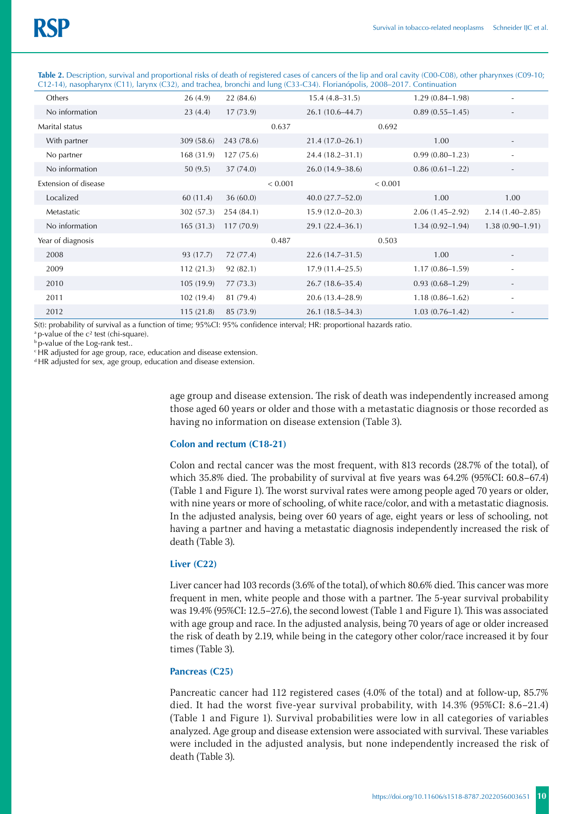| $C(z^2 + \tau)$ , nasopnarýn $\kappa$ (C) +), iaryn $\kappa$ (C)2), and trachca, bronchi and fung (C) $J$ -C)+). Fronanopons, 2000–2017. Commutation |           |            |         |                     |         |                     |                          |
|------------------------------------------------------------------------------------------------------------------------------------------------------|-----------|------------|---------|---------------------|---------|---------------------|--------------------------|
| Others                                                                                                                                               | 26(4.9)   | 22(84.6)   |         | $15.4(4.8-31.5)$    |         | $1.29(0.84 - 1.98)$ |                          |
| No information                                                                                                                                       | 23(4.4)   | 17(73.9)   |         | $26.1(10.6-44.7)$   |         | $0.89(0.55 - 1.45)$ | $\overline{\phantom{a}}$ |
| Marital status                                                                                                                                       |           |            | 0.637   |                     | 0.692   |                     |                          |
| With partner                                                                                                                                         | 309(58.6) | 243 (78.6) |         | $21.4(17.0-26.1)$   |         | 1.00                |                          |
| No partner                                                                                                                                           | 168(31.9) | 127(75.6)  |         | 24.4 (18.2–31.1)    |         | $0.99(0.80 - 1.23)$ | $\sim$                   |
| No information                                                                                                                                       | 50(9.5)   | 37(74.0)   |         | $26.0(14.9-38.6)$   |         | $0.86(0.61 - 1.22)$ | $\overline{\phantom{a}}$ |
| Extension of disease                                                                                                                                 |           |            | < 0.001 |                     | < 0.001 |                     |                          |
| Localized                                                                                                                                            | 60(11.4)  | 36(60.0)   |         | $40.0(27.7 - 52.0)$ |         | 1.00                | 1.00                     |
| Metastatic                                                                                                                                           | 302(57.3) | 254(84.1)  |         | $15.9(12.0 - 20.3)$ |         | $2.06(1.45-2.92)$   | $2.14(1.40 - 2.85)$      |
| No information                                                                                                                                       | 165(31.3) | 117(70.9)  |         | 29.1 (22.4–36.1)    |         | $1.34(0.92 - 1.94)$ | $1.38(0.90 - 1.91)$      |
| Year of diagnosis                                                                                                                                    |           |            | 0.487   |                     | 0.503   |                     |                          |
| 2008                                                                                                                                                 | 93 (17.7) | 72 (77.4)  |         | $22.6(14.7-31.5)$   |         | 1.00                | $\overline{\phantom{a}}$ |
| 2009                                                                                                                                                 | 112(21.3) | 92(82.1)   |         | $17.9(11.4 - 25.5)$ |         | $1.17(0.86 - 1.59)$ | $\sim$                   |
| 2010                                                                                                                                                 | 105(19.9) | 77(73.3)   |         | $26.7(18.6-35.4)$   |         | $0.93(0.68 - 1.29)$ | $\overline{\phantom{a}}$ |
| 2011                                                                                                                                                 | 102(19.4) | 81 (79.4)  |         | 20.6 (13.4–28.9)    |         | $1.18(0.86 - 1.62)$ | $\overline{\phantom{a}}$ |
| 2012                                                                                                                                                 | 115(21.8) | 85 (73.9)  |         | $26.1(18.5-34.3)$   |         | $1.03(0.76 - 1.42)$ |                          |

**Table 2.** Description, survival and proportional risks of death of registered cases of cancers of the lip and oral cavity (C00-C08), other pharynxes (C09-10; C12-14), nasopharynx (C11), larynx (C32), and trachea, bronchi and lung (C33-C34). Florianópolis, 2008–2017. Continuation

S(t): probability of survival as a function of time; 95%CI: 95% confidence interval; HR: proportional hazards ratio.

<sup>a</sup> p-value of the c<sup>2</sup> test (chi-square).

b p-value of the Log-rank test..

c HR adjusted for age group, race, education and disease extension.

d HR adjusted for sex, age group, education and disease extension.

age group and disease extension. The risk of death was independently increased among those aged 60 years or older and those with a metastatic diagnosis or those recorded as having no information on disease extension (Table 3).

### **Colon and rectum (C18-21)**

Colon and rectal cancer was the most frequent, with 813 records (28.7% of the total), of which 35.8% died. The probability of survival at five years was 64.2% (95%CI: 60.8–67.4) (Table 1 and Figure 1). The worst survival rates were among people aged 70 years or older, with nine years or more of schooling, of white race/color, and with a metastatic diagnosis. In the adjusted analysis, being over 60 years of age, eight years or less of schooling, not having a partner and having a metastatic diagnosis independently increased the risk of death (Table 3).

## **Liver (C22)**

Liver cancer had 103 records (3.6% of the total), of which 80.6% died. This cancer was more frequent in men, white people and those with a partner. The 5-year survival probability was 19.4% (95%CI: 12.5–27.6), the second lowest (Table 1 and Figure 1). This was associated with age group and race. In the adjusted analysis, being 70 years of age or older increased the risk of death by 2.19, while being in the category other color/race increased it by four times (Table 3).

## **Pancreas (C25)**

Pancreatic cancer had 112 registered cases (4.0% of the total) and at follow-up, 85.7% died. It had the worst five-year survival probability, with 14.3% (95%CI: 8.6–21.4) (Table 1 and Figure 1). Survival probabilities were low in all categories of variables analyzed. Age group and disease extension were associated with survival. These variables were included in the adjusted analysis, but none independently increased the risk of death (Table 3).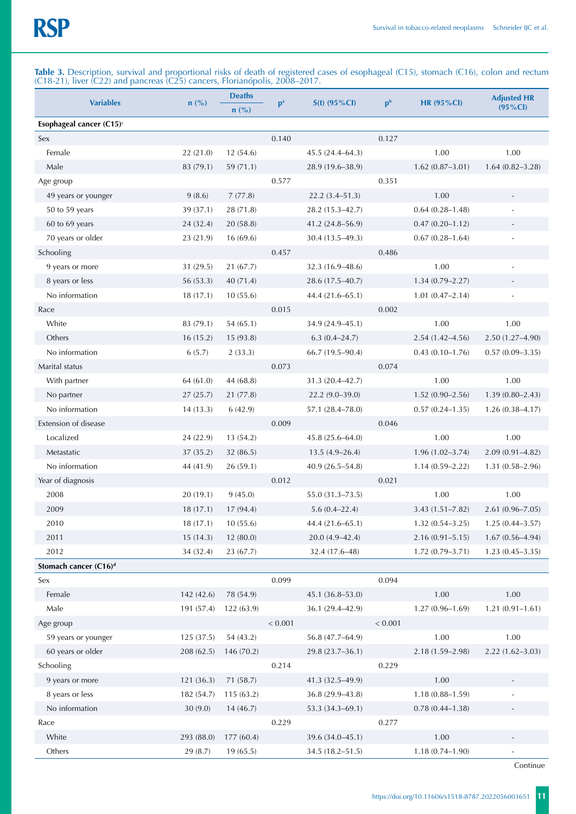**Table 3.** Description, survival and proportional risks of death of registered cases of esophageal (C15), stomach (C16), colon and rectum (C18-21), liver (C22) and pancreas (C25) cancers, Florianópolis, 2008–2017.

| <b>Variables</b>                     | $n$ (%)    | <b>Deaths</b><br>$n(^{0}/_{0})$ | p <sup>a</sup> | $S(t)$ (95%Cl)      | p <sup>b</sup> | <b>HR (95%CI)</b>   | <b>Adjusted HR</b><br>$(95\% CI)$ |
|--------------------------------------|------------|---------------------------------|----------------|---------------------|----------------|---------------------|-----------------------------------|
| Esophageal cancer (C15) <sup>c</sup> |            |                                 |                |                     |                |                     |                                   |
| Sex                                  |            |                                 | 0.140          |                     | 0.127          |                     |                                   |
| Female                               | 22(21.0)   | 12 (54.6)                       |                | $45.5(24.4 - 64.3)$ |                | 1.00                | 1.00                              |
| Male                                 | 83 (79.1)  | 59 (71.1)                       |                | 28.9 (19.6-38.9)    |                | $1.62(0.87 - 3.01)$ | $1.64(0.82 - 3.28)$               |
| Age group                            |            |                                 | 0.577          |                     | 0.351          |                     |                                   |
| 49 years or younger                  | 9(8.6)     | 7(77.8)                         |                | $22.2(3.4 - 51.3)$  |                | 1.00                |                                   |
| 50 to 59 years                       | 39 (37.1)  | 28 (71.8)                       |                | 28.2 (15.3–42.7)    |                | $0.64(0.28 - 1.48)$ |                                   |
| 60 to 69 years                       | 24 (32.4)  | 20(58.8)                        |                | 41.2 (24.8-56.9)    |                | $0.47(0.20 - 1.12)$ |                                   |
| 70 years or older                    | 23 (21.9)  | 16 (69.6)                       |                | 30.4 (13.5-49.3)    |                | $0.67(0.28 - 1.64)$ |                                   |
| Schooling                            |            |                                 | 0.457          |                     | 0.486          |                     |                                   |
| 9 years or more                      | 31 (29.5)  | 21 (67.7)                       |                | $32.3(16.9 - 48.6)$ |                | 1.00                |                                   |
| 8 years or less                      | 56 (53.3)  | 40 (71.4)                       |                | 28.6 (17.5-40.7)    |                | $1.34(0.79 - 2.27)$ |                                   |
| No information                       | 18(17.1)   | 10(55.6)                        |                | 44.4 (21.6–65.1)    |                | $1.01(0.47 - 2.14)$ |                                   |
| Race                                 |            |                                 | 0.015          |                     | 0.002          |                     |                                   |
| White                                | 83 (79.1)  | 54(65.1)                        |                | 34.9 (24.9-45.1)    |                | 1.00                | 1.00                              |
| Others                               | 16(15.2)   | 15 (93.8)                       |                | $6.3(0.4 - 24.7)$   |                | $2.54(1.42 - 4.56)$ | 2.50 (1.27-4.90)                  |
| No information                       | 6(5.7)     | 2(33.3)                         |                | 66.7 (19.5-90.4)    |                | $0.43(0.10-1.76)$   | $0.57(0.09 - 3.35)$               |
| Marital status                       |            |                                 | 0.073          |                     | 0.074          |                     |                                   |
| With partner                         | 64(61.0)   | 44 (68.8)                       |                | 31.3 (20.4–42.7)    |                | 1.00                | 1.00                              |
| No partner                           | 27(25.7)   | 21 (77.8)                       |                | $22.2(9.0-39.0)$    |                | $1.52(0.90 - 2.56)$ | $1.39(0.80 - 2.43)$               |
| No information                       | 14(13.3)   | 6(42.9)                         |                | 57.1 (28.4-78.0)    |                | $0.57(0.24 - 1.35)$ | $1.26(0.38 - 4.17)$               |
| Extension of disease                 |            |                                 | 0.009          |                     | 0.046          |                     |                                   |
| Localized                            | 24 (22.9)  | 13 (54.2)                       |                | 45.8 (25.6-64.0)    |                | 1.00                | 1.00                              |
| Metastatic                           | 37 (35.2)  | 32 (86.5)                       |                | $13.5(4.9 - 26.4)$  |                | $1.96(1.02 - 3.74)$ | $2.09(0.91 - 4.82)$               |
| No information                       | 44 (41.9)  | 26(59.1)                        |                | $40.9(26.5 - 54.8)$ |                | $1.14(0.59 - 2.22)$ | $1.31(0.58 - 2.96)$               |
| Year of diagnosis                    |            |                                 | 0.012          |                     | 0.021          |                     |                                   |
| 2008                                 | 20(19.1)   | 9(45.0)                         |                | $55.0(31.3 - 73.5)$ |                | 1.00                | 1.00                              |
| 2009                                 | 18(17.1)   | 17 (94.4)                       |                | $5.6(0.4 - 22.4)$   |                | $3.43(1.51 - 7.82)$ | $2.61(0.96 - 7.05)$               |
| 2010                                 | 18(17.1)   | 10(55.6)                        |                | 44.4 (21.6–65.1)    |                | $1.32(0.54 - 3.25)$ | $1.25(0.44 - 3.57)$               |
| 2011                                 | 15(14.3)   | 12 (80.0)                       |                | $20.0(4.9 - 42.4)$  |                | $2.16(0.91 - 5.15)$ | $1.67(0.56 - 4.94)$               |
| 2012                                 | 34 (32.4)  | 23 (67.7)                       |                | 32.4 (17.6-48)      |                | $1.72(0.79 - 3.71)$ | $1.23(0.45 - 3.35)$               |
| Stomach cancer (C16) <sup>d</sup>    |            |                                 |                |                     |                |                     |                                   |
| Sex                                  |            |                                 | 0.099          |                     | 0.094          |                     |                                   |
| Female                               | 142 (42.6) | 78 (54.9)                       |                | 45.1 (36.8-53.0)    |                | 1.00                | 1.00                              |
| Male                                 | 191 (57.4) | 122 (63.9)                      |                | 36.1 (29.4-42.9)    |                | $1.27(0.96 - 1.69)$ | $1.21(0.91 - 1.61)$               |
| Age group                            |            |                                 | < 0.001        |                     | < 0.001        |                     |                                   |
| 59 years or younger                  | 125 (37.5) | 54 (43.2)                       |                | 56.8 (47.7-64.9)    |                | 1.00                | 1.00                              |
| 60 years or older                    | 208 (62.5) | 146 (70.2)                      |                | 29.8 (23.7-36.1)    |                | 2.18 (1.59-2.98)    | $2.22(1.62 - 3.03)$               |
| Schooling                            |            |                                 | 0.214          |                     | 0.229          |                     |                                   |
| 9 years or more                      | 121 (36.3) | 71 (58.7)                       |                | 41.3 (32.5-49.9)    |                | 1.00                | $\overline{\phantom{a}}$          |
| 8 years or less                      | 182 (54.7) | 115(63.2)                       |                | 36.8 (29.9-43.8)    |                | $1.18(0.88 - 1.59)$ |                                   |
| No information                       | 30(9.0)    | 14(46.7)                        |                | 53.3 (34.3-69.1)    |                | $0.78(0.44 - 1.38)$ |                                   |
| Race                                 |            |                                 | 0.229          |                     | 0.277          |                     |                                   |
| White                                | 293 (88.0) | 177 (60.4)                      |                | 39.6 (34.0-45.1)    |                | $1.00\,$            |                                   |
| Others                               | 29 (8.7)   | 19 (65.5)                       |                | 34.5 (18.2-51.5)    |                | $1.18(0.74 - 1.90)$ |                                   |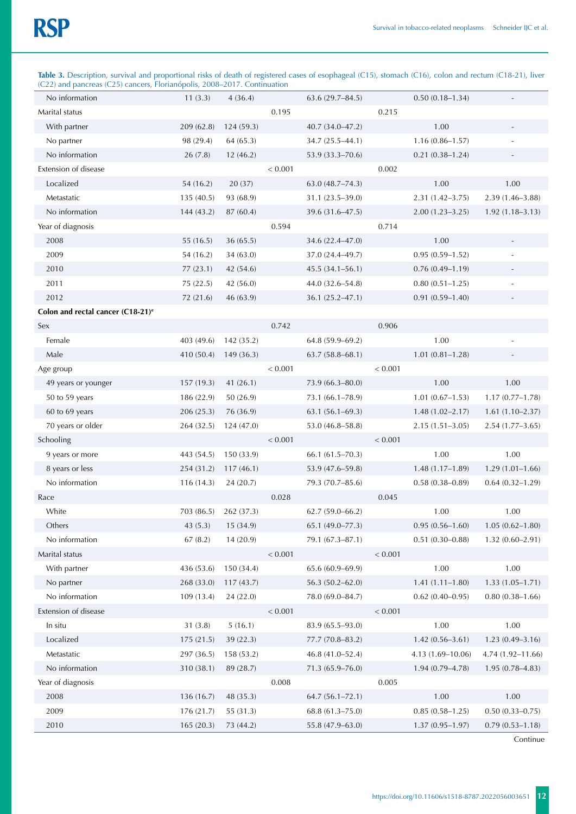| Table 3. Description, survival and proportional risks of death of registered cases of esophageal (C15), stomach (C16), colon and rectum (C18-21), liver |  |  |  |  |
|---------------------------------------------------------------------------------------------------------------------------------------------------------|--|--|--|--|
| (C22) and pancreas (C25) cancers, Florianópolis, 2008–2017. Continuation                                                                                |  |  |  |  |

| No information                                | 11(3.3)    | 4(36.4)    |         | $63.6(29.7 - 84.5)$ |         | $0.50(0.18 - 1.34)$ |                          |
|-----------------------------------------------|------------|------------|---------|---------------------|---------|---------------------|--------------------------|
| Marital status                                |            |            | 0.195   |                     | 0.215   |                     |                          |
| With partner                                  | 209 (62.8) | 124 (59.3) |         | 40.7 (34.0-47.2)    |         | 1.00                |                          |
| No partner                                    | 98 (29.4)  | 64 (65.3)  |         | 34.7 (25.5-44.1)    |         | $1.16(0.86 - 1.57)$ |                          |
| No information                                | 26 (7.8)   | 12(46.2)   |         | 53.9 (33.3-70.6)    |         | $0.21(0.38 - 1.24)$ |                          |
| Extension of disease                          |            |            | < 0.001 |                     | 0.002   |                     |                          |
| Localized                                     | 54 (16.2)  | 20 (37)    |         | $63.0(48.7 - 74.3)$ |         | 1.00                | 1.00                     |
| Metastatic                                    | 135 (40.5) | 93 (68.9)  |         | 31.1 (23.5-39.0)    |         | $2.31(1.42 - 3.75)$ | 2.39 (1.46-3.88)         |
| No information                                | 144 (43.2) | 87 (60.4)  |         | 39.6 (31.6-47.5)    |         | $2.00(1.23 - 3.25)$ | $1.92(1.18 - 3.13)$      |
| Year of diagnosis                             |            |            | 0.594   |                     | 0.714   |                     |                          |
| 2008                                          | 55 (16.5)  | 36(65.5)   |         | 34.6 (22.4-47.0)    |         | 1.00                | $\overline{\phantom{a}}$ |
| 2009                                          | 54 (16.2)  | 34(63.0)   |         | 37.0 (24.4-49.7)    |         | $0.95(0.59 - 1.52)$ |                          |
| 2010                                          | 77(23.1)   | 42 (54.6)  |         | $45.5(34.1 - 56.1)$ |         | $0.76(0.49 - 1.19)$ | $\overline{\phantom{a}}$ |
| 2011                                          | 75 (22.5)  | 42 (56.0)  |         | 44.0 (32.6-54.8)    |         | $0.80(0.51 - 1.25)$ |                          |
| 2012                                          | 72 (21.6)  | 46 (63.9)  |         | 36.1 (25.2-47.1)    |         | $0.91(0.59 - 1.40)$ |                          |
| Colon and rectal cancer (C18-21) <sup>e</sup> |            |            |         |                     |         |                     |                          |
| Sex                                           |            |            | 0.742   |                     | 0.906   |                     |                          |
| Female                                        | 403 (49.6) | 142 (35.2) |         | $64.8(59.9 - 69.2)$ |         | 1.00                |                          |
| Male                                          | 410 (50.4) | 149 (36.3) |         | $63.7(58.8 - 68.1)$ |         | $1.01(0.81 - 1.28)$ |                          |
| Age group                                     |            |            | < 0.001 |                     | < 0.001 |                     |                          |
| 49 years or younger                           | 157(19.3)  | 41(26.1)   |         | 73.9 (66.3-80.0)    |         | 1.00                | 1.00                     |
| 50 to 59 years                                | 186 (22.9) | 50 (26.9)  |         | 73.1 (66.1-78.9)    |         | $1.01(0.67-1.53)$   | $1.17(0.77 - 1.78)$      |
| 60 to 69 years                                | 206 (25.3) | 76 (36.9)  |         | $63.1(56.1-69.3)$   |         | $1.48(1.02 - 2.17)$ | $1.61(1.10-2.37)$        |
| 70 years or older                             | 264 (32.5) | 124 (47.0) |         | 53.0 (46.8-58.8)    |         | $2.15(1.51 - 3.05)$ | $2.54(1.77-3.65)$        |
| Schooling                                     |            |            | < 0.001 |                     | < 0.001 |                     |                          |
| 9 years or more                               | 443 (54.5) | 150 (33.9) |         | 66.1 (61.5-70.3)    |         | 1.00                | 1.00                     |
| 8 years or less                               | 254 (31.2) | 117(46.1)  |         | 53.9 (47.6-59.8)    |         | $1.48(1.17-1.89)$   | $1.29(1.01-1.66)$        |
| No information                                | 116(14.3)  | 24 (20.7)  |         | 79.3 (70.7-85.6)    |         | $0.58(0.38 - 0.89)$ | $0.64(0.32 - 1.29)$      |
| Race                                          |            |            | 0.028   |                     | 0.045   |                     |                          |
| White                                         | 703 (86.5) | 262 (37.3) |         | $62.7(59.0 - 66.2)$ |         | 1.00                | 1.00                     |
| Others                                        | 43 (5.3)   | 15 (34.9)  |         | 65.1 (49.0-77.3)    |         | $0.95(0.56 - 1.60)$ | $1.05(0.62 - 1.80)$      |
| No information                                | 67(8.2)    | 14(20.9)   |         | 79.1 (67.3-87.1)    |         | $0.51(0.30 - 0.88)$ | $1.32(0.60 - 2.91)$      |
| Marital status                                |            |            | < 0.001 |                     | < 0.001 |                     |                          |
| With partner                                  | 436 (53.6) | 150 (34.4) |         | 65.6 (60.9-69.9)    |         | 1.00                | 1.00                     |
| No partner                                    | 268 (33.0) | 117(43.7)  |         | $56.3(50.2 - 62.0)$ |         | $1.41(1.11 - 1.80)$ | $1.33(1.05 - 1.71)$      |
| No information                                | 109(13.4)  | 24(22.0)   |         | 78.0 (69.0-84.7)    |         | $0.62(0.40-0.95)$   | $0.80(0.38 - 1.66)$      |
| Extension of disease                          |            |            | < 0.001 |                     | < 0.001 |                     |                          |
| In situ                                       | 31(3.8)    | 5(16.1)    |         | 83.9 (65.5-93.0)    |         | 1.00                | $1.00\,$                 |
| Localized                                     | 175 (21.5) | 39 (22.3)  |         | 77.7 (70.8-83.2)    |         | $1.42(0.56 - 3.61)$ | $1.23(0.49 - 3.16)$      |
| Metastatic                                    | 297 (36.5) | 158 (53.2) |         | 46.8 (41.0-52.4)    |         | 4.13 (1.69-10.06)   | 4.74 (1.92-11.66)        |
| No information                                | 310 (38.1) | 89 (28.7)  |         | 71.3 (65.9-76.0)    |         | $1.94(0.79 - 4.78)$ | $1.95(0.78 - 4.83)$      |
| Year of diagnosis                             |            |            | 0.008   |                     | 0.005   |                     |                          |
| 2008                                          | 136(16.7)  | 48 (35.3)  |         | $64.7(56.1 - 72.1)$ |         | 1.00                | 1.00                     |
| 2009                                          | 176 (21.7) | 55 (31.3)  |         | $68.8(61.3 - 75.0)$ |         | $0.85(0.58 - 1.25)$ | $0.50(0.33 - 0.75)$      |
| 2010                                          | 165(20.3)  | 73 (44.2)  |         | 55.8 (47.9-63.0)    |         | $1.37(0.95 - 1.97)$ | $0.79(0.53 - 1.18)$      |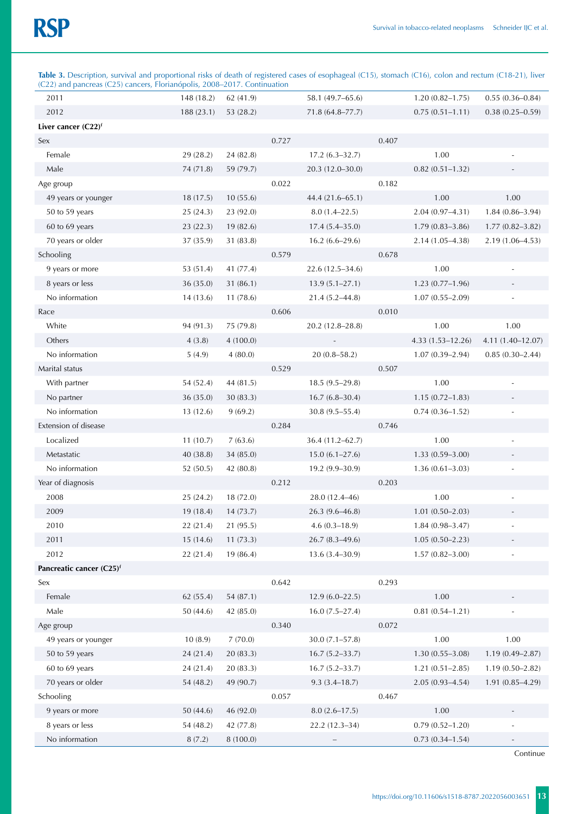**Table 3.** Description, survival and proportional risks of death of registered cases of esophageal (C15), stomach (C16), colon and rectum (C18-21), liver (C22) and pancreas (C25) cancers, Florianópolis, 2008–2017. Continuation

| (C22) and pancreas (C25) cancers, Florianopolis, 2008–2017. Continuation |            |           |       |                     |       |                     |                     |
|--------------------------------------------------------------------------|------------|-----------|-------|---------------------|-------|---------------------|---------------------|
| 2011                                                                     | 148 (18.2) | 62 (41.9) |       | 58.1 (49.7-65.6)    |       | $1.20(0.82 - 1.75)$ | $0.55(0.36 - 0.84)$ |
| 2012                                                                     | 188 (23.1) | 53 (28.2) |       | $71.8(64.8 - 77.7)$ |       | $0.75(0.51 - 1.11)$ | $0.38(0.25 - 0.59)$ |
| Liver cancer $(C22)^f$                                                   |            |           |       |                     |       |                     |                     |
| Sex                                                                      |            |           | 0.727 |                     | 0.407 |                     |                     |
| Female                                                                   | 29 (28.2)  | 24 (82.8) |       | $17.2(6.3-32.7)$    |       | 1.00                |                     |
| Male                                                                     | 74 (71.8)  | 59 (79.7) |       | 20.3 (12.0-30.0)    |       | $0.82(0.51 - 1.32)$ |                     |
| Age group                                                                |            |           | 0.022 |                     | 0.182 |                     |                     |
| 49 years or younger                                                      | 18(17.5)   | 10(55.6)  |       | 44.4 (21.6-65.1)    |       | 1.00                | 1.00                |
| 50 to 59 years                                                           | 25(24.3)   | 23 (92.0) |       | $8.0(1.4 - 22.5)$   |       | $2.04(0.97 - 4.31)$ | 1.84 (0.86-3.94)    |
| 60 to 69 years                                                           | 23 (22.3)  | 19 (82.6) |       | $17.4(5.4 - 35.0)$  |       | $1.79(0.83 - 3.86)$ | $1.77(0.82 - 3.82)$ |
| 70 years or older                                                        | 37(35.9)   | 31 (83.8) |       | $16.2(6.6-29.6)$    |       | $2.14(1.05 - 4.38)$ | $2.19(1.06-4.53)$   |
| Schooling                                                                |            |           | 0.579 |                     | 0.678 |                     |                     |
| 9 years or more                                                          | 53 (51.4)  | 41 (77.4) |       | $22.6(12.5 - 34.6)$ |       | 1.00                |                     |
| 8 years or less                                                          | 36 (35.0)  | 31 (86.1) |       | $13.9(5.1 - 27.1)$  |       | $1.23(0.77-1.96)$   |                     |
| No information                                                           | 14(13.6)   | 11(78.6)  |       | 21.4 (5.2-44.8)     |       | $1.07(0.55 - 2.09)$ |                     |
| Race                                                                     |            |           | 0.606 |                     | 0.010 |                     |                     |
| White                                                                    | 94 (91.3)  | 75 (79.8) |       | 20.2 (12.8-28.8)    |       | 1.00                | 1.00                |
| Others                                                                   | 4(3.8)     | 4(100.0)  |       |                     |       | 4.33 (1.53-12.26)   | 4.11 (1.40-12.07)   |
| No information                                                           | 5(4.9)     | 4(80.0)   |       | $20(0.8 - 58.2)$    |       | $1.07(0.39 - 2.94)$ | $0.85(0.30-2.44)$   |
| Marital status                                                           |            |           | 0.529 |                     | 0.507 |                     |                     |
| With partner                                                             | 54 (52.4)  | 44 (81.5) |       | $18.5(9.5-29.8)$    |       | 1.00                |                     |
| No partner                                                               | 36(35.0)   | 30(83.3)  |       | $16.7(6.8-30.4)$    |       | $1.15(0.72 - 1.83)$ |                     |
| No information                                                           | 13(12.6)   | 9(69.2)   |       | $30.8(9.5 - 55.4)$  |       | $0.74(0.36 - 1.52)$ |                     |
| Extension of disease                                                     |            |           | 0.284 |                     | 0.746 |                     |                     |
| Localized                                                                | 11(10.7)   | 7(63.6)   |       | 36.4 (11.2–62.7)    |       | 1.00                |                     |
| Metastatic                                                               | 40 (38.8)  | 34 (85.0) |       | $15.0(6.1 - 27.6)$  |       | $1.33(0.59 - 3.00)$ |                     |
| No information                                                           | 52(50.5)   | 42 (80.8) |       | $19.2(9.9-30.9)$    |       | $1.36(0.61 - 3.03)$ |                     |
| Year of diagnosis                                                        |            |           | 0.212 |                     | 0.203 |                     |                     |
| 2008                                                                     | 25(24.2)   | 18 (72.0) |       | 28.0 (12.4-46)      |       | 1.00                |                     |
| 2009                                                                     | 19(18.4)   | 14(73.7)  |       | 26.3 (9.6-46.8)     |       | $1.01(0.50 - 2.03)$ |                     |
| 2010                                                                     | 22 (21.4)  | 21 (95.5) |       | $4.6(0.3 - 18.9)$   |       | $1.84(0.98 - 3.47)$ |                     |
| 2011                                                                     | 15(14.6)   | 11(73.3)  |       | 26.7 (8.3-49.6)     |       | $1.05(0.50 - 2.23)$ |                     |
| 2012                                                                     | 22 (21.4)  | 19 (86.4) |       | $13.6(3.4 - 30.9)$  |       | $1.57(0.82 - 3.00)$ |                     |
| Pancreatic cancer (C25) <sup>f</sup>                                     |            |           |       |                     |       |                     |                     |
| Sex                                                                      |            |           | 0.642 |                     | 0.293 |                     |                     |
| Female                                                                   | 62 (55.4)  | 54 (87.1) |       | $12.9(6.0 - 22.5)$  |       | $1.00\,$            |                     |
| Male                                                                     | 50(44.6)   | 42 (85.0) |       | $16.0(7.5 - 27.4)$  |       | $0.81(0.54 - 1.21)$ |                     |
| Age group                                                                |            |           | 0.340 |                     | 0.072 |                     |                     |
| 49 years or younger                                                      | 10(8.9)    | 7(70.0)   |       | $30.0(7.1 - 57.8)$  |       | 1.00                | 1.00                |
| 50 to 59 years                                                           | 24(21.4)   | 20 (83.3) |       | $16.7 (5.2 - 33.7)$ |       | $1.30(0.55 - 3.08)$ | 1.19 (0.49-2.87)    |
| 60 to 69 years                                                           | 24(21.4)   | 20 (83.3) |       | $16.7(5.2 - 33.7)$  |       | $1.21(0.51 - 2.85)$ | $1.19(0.50-2.82)$   |
| 70 years or older                                                        | 54 (48.2)  | 49 (90.7) |       | $9.3(3.4 - 18.7)$   |       | $2.05(0.93 - 4.54)$ | $1.91(0.85 - 4.29)$ |
| Schooling                                                                |            |           | 0.057 |                     | 0.467 |                     |                     |
| 9 years or more                                                          | 50 (44.6)  | 46 (92.0) |       | $8.0(2.6 - 17.5)$   |       | 1.00                |                     |
| 8 years or less                                                          | 54 (48.2)  | 42 (77.8) |       | 22.2 (12.3-34)      |       | $0.79(0.52 - 1.20)$ |                     |
| No information                                                           | 8(7.2)     | 8 (100.0) |       |                     |       | $0.73(0.34 - 1.54)$ |                     |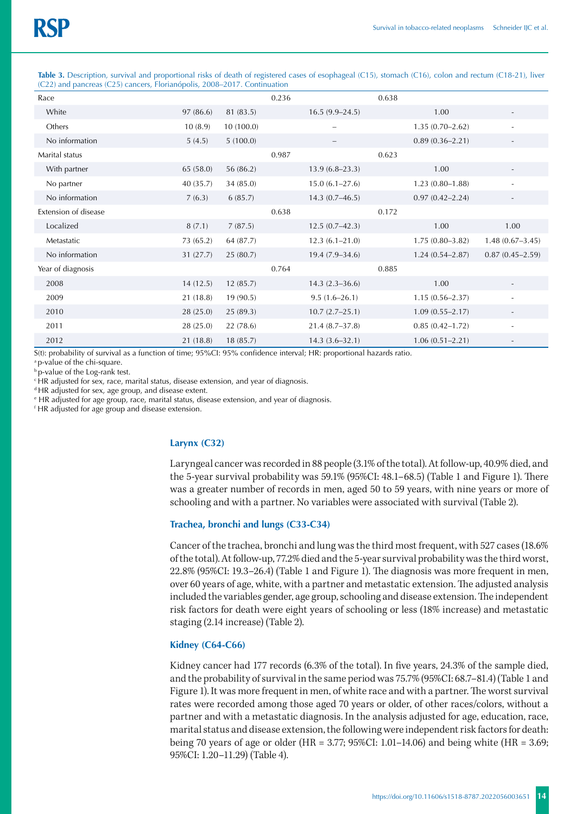**Table 3.** Description, survival and proportional risks of death of registered cases of esophageal (C15), stomach (C16), colon and rectum (C18-21), liver (C22) and pancreas (C25) cancers, Florianópolis, 2008–2017. Continuation

| Race                 |           |           | 0.236 |                          | 0.638 |                     |                          |
|----------------------|-----------|-----------|-------|--------------------------|-------|---------------------|--------------------------|
| White                | 97(86.6)  | 81 (83.5) |       | $16.5(9.9-24.5)$         |       | 1.00                |                          |
| Others               | 10(8.9)   | 10(100.0) |       | $\overline{\phantom{0}}$ |       | $1.35(0.70-2.62)$   |                          |
| No information       | 5(4.5)    | 5(100.0)  |       |                          |       | $0.89(0.36 - 2.21)$ |                          |
| Marital status       |           |           | 0.987 |                          | 0.623 |                     |                          |
| With partner         | 65 (58.0) | 56 (86.2) |       | $13.9(6.8-23.3)$         |       | 1.00                |                          |
| No partner           | 40 (35.7) | 34 (85.0) |       | $15.0(6.1 - 27.6)$       |       | $1.23(0.80 - 1.88)$ |                          |
| No information       | 7(6.3)    | 6(85.7)   |       | $14.3(0.7-46.5)$         |       | $0.97(0.42 - 2.24)$ |                          |
| Extension of disease |           |           | 0.638 |                          | 0.172 |                     |                          |
| Localized            | 8(7.1)    | 7(87.5)   |       | $12.5(0.7-42.3)$         |       | 1.00                | 1.00                     |
| Metastatic           | 73 (65.2) | 64 (87.7) |       | $12.3(6.1 - 21.0)$       |       | $1.75(0.80-3.82)$   | $1.48(0.67 - 3.45)$      |
| No information       | 31(27.7)  | 25(80.7)  |       | $19.4(7.9-34.6)$         |       | $1.24(0.54 - 2.87)$ | $0.87(0.45 - 2.59)$      |
| Year of diagnosis    |           |           | 0.764 |                          | 0.885 |                     |                          |
| 2008                 | 14(12.5)  | 12(85.7)  |       | $14.3(2.3 - 36.6)$       |       | 1.00                |                          |
| 2009                 | 21(18.8)  | 19(90.5)  |       | $9.5(1.6 - 26.1)$        |       | $1.15(0.56 - 2.37)$ | $\overline{\phantom{a}}$ |
| 2010                 | 28(25.0)  | 25(89.3)  |       | $10.7(2.7-25.1)$         |       | $1.09(0.55 - 2.17)$ | $\overline{\phantom{a}}$ |
| 2011                 | 28 (25.0) | 22 (78.6) |       | $21.4(8.7 - 37.8)$       |       | $0.85(0.42 - 1.72)$ | ٠                        |
| 2012                 | 21(18.8)  | 18(85.7)  |       | $14.3(3.6 - 32.1)$       |       | $1.06(0.51 - 2.21)$ |                          |

S(t): probability of survival as a function of time; 95%CI: 95% confidence interval; HR: proportional hazards ratio.

<sup>a</sup> p-value of the chi-square.

b p-value of the Log-rank test.

c HR adjusted for sex, race, marital status, disease extension, and year of diagnosis.

d HR adjusted for sex, age group, and disease extent.

e HR adjusted for age group, race, marital status, disease extension, and year of diagnosis.

f HR adjusted for age group and disease extension.

## **Larynx (C32)**

Laryngeal cancer was recorded in 88 people (3.1% of the total). At follow-up, 40.9% died, and the 5-year survival probability was 59.1% (95%CI: 48.1–68.5) (Table 1 and Figure 1). There was a greater number of records in men, aged 50 to 59 years, with nine years or more of schooling and with a partner. No variables were associated with survival (Table 2).

# **Trachea, bronchi and lungs (C33-C34)**

Cancer of the trachea, bronchi and lung was the third most frequent, with 527 cases (18.6% of the total). At follow-up, 77.2% died and the 5-year survival probability was the third worst, 22.8% (95%CI: 19.3–26.4) (Table 1 and Figure 1). The diagnosis was more frequent in men, over 60 years of age, white, with a partner and metastatic extension. The adjusted analysis included the variables gender, age group, schooling and disease extension. The independent risk factors for death were eight years of schooling or less (18% increase) and metastatic staging (2.14 increase) (Table 2).

### **Kidney (C64-C66)**

Kidney cancer had 177 records (6.3% of the total). In five years, 24.3% of the sample died, and the probability of survival in the same period was 75.7% (95%CI: 68.7–81.4) (Table 1 and Figure 1). It was more frequent in men, of white race and with a partner. The worst survival rates were recorded among those aged 70 years or older, of other races/colors, without a partner and with a metastatic diagnosis. In the analysis adjusted for age, education, race, marital status and disease extension, the following were independent risk factors for death: being 70 years of age or older (HR = 3.77; 95%CI: 1.01–14.06) and being white (HR = 3.69; 95%CI: 1.20–11.29) (Table 4).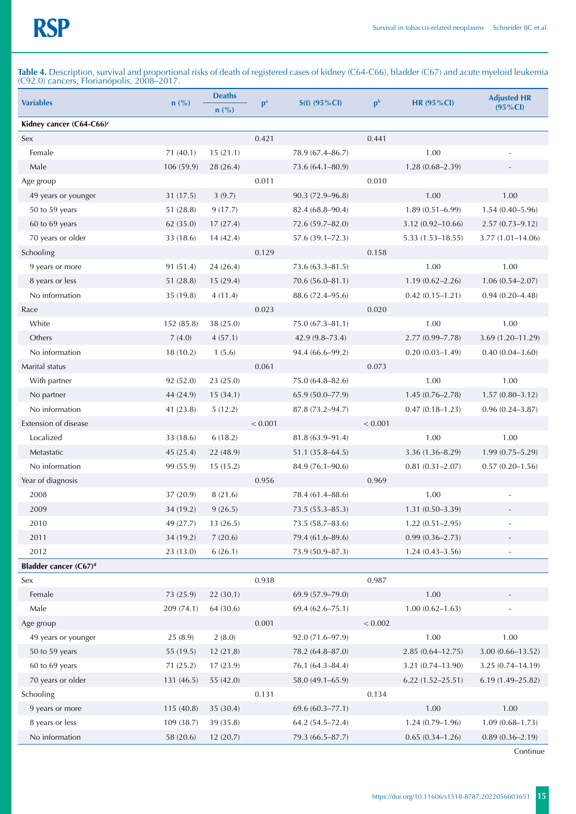**Table 4.** Description, survival and proportional risks of death of registered cases of kidney (C64-C66), bladder (C67) and acute myeloid leukemia (C92.0) cancers, Florianópolis, 2008–2017.

| <b>Variables</b>                     | $n$ (%)    | <b>Deaths</b>  | $p^a$   | $S(t)$ (95%Cl)       | p <sub>b</sub> | <b>HR (95%CI)</b>    | <b>Adjusted HR</b>       |
|--------------------------------------|------------|----------------|---------|----------------------|----------------|----------------------|--------------------------|
|                                      |            | $n(^{0}/_{0})$ |         |                      |                |                      | $(95\% CI)$              |
| Kidney cancer (C64-C66) <sup>c</sup> |            |                |         |                      |                |                      |                          |
| Sex                                  |            |                | 0.421   |                      | 0.441          |                      |                          |
| Female                               | 71(40.1)   | 15(21.1)       |         | 78.9 (67.4-86.7)     |                | 1.00                 |                          |
| Male                                 | 106 (59.9) | 28 (26.4)      |         | 73.6 (64.1-80.9)     |                | $1.28(0.68 - 2.39)$  |                          |
| Age group                            |            |                | 0.011   |                      | 0.010          |                      |                          |
| 49 years or younger                  | 31(17.5)   | 3(9.7)         |         | 90.3 (72.9-96.8)     |                | 1.00                 | 1.00                     |
| 50 to 59 years                       | 51(28.8)   | 9(17.7)        |         | $82.4(68.8 - 90.4)$  |                | $1.89(0.51 - 6.99)$  | $1.54(0.40 - 5.96)$      |
| 60 to 69 years                       | 62 (35.0)  | 17(27.4)       |         | 72.6 (59.7-82.0)     |                | $3.12(0.92 - 10.66)$ | $2.57(0.73 - 9.12)$      |
| 70 years or older                    | 33 (18.6)  | 14(42.4)       |         | 57.6 (39.1-72.3)     |                | $5.33(1.53 - 18.55)$ | $3.77(1.01 - 14.06)$     |
| Schooling                            |            |                | 0.129   |                      | 0.158          |                      |                          |
| 9 years or more                      | 91 (51.4)  | 24(26.4)       |         | $73.6(63.3 - 81.5)$  |                | 1.00                 | 1.00                     |
| 8 years or less                      | 51 (28.8)  | 15 (29.4)      |         | 70.6 (56.0-81.1)     |                | $1.19(0.62 - 2.26)$  | $1.06(0.54 - 2.07)$      |
| No information                       | 35 (19.8)  | 4(11.4)        |         | 88.6 (72.4-95.6)     |                | $0.42(0.15 - 1.21)$  | $0.94(0.20 - 4.48)$      |
| Race                                 |            |                | 0.023   |                      | 0.020          |                      |                          |
| White                                | 152 (85.8) | 38 (25.0)      |         | $75.0 (67.3 - 81.1)$ |                | 1.00                 | 1.00                     |
| Others                               | 7(4.0)     | 4(57.1)        |         | $42.9(9.8 - 73.4)$   |                | $2.77(0.99 - 7.78)$  | $3.69(1.20 - 11.29)$     |
| No information                       | 18(10.2)   | 1(5.6)         |         | 94.4 (66.6-99.2)     |                | $0.20(0.03 - 1.49)$  | $0.40(0.04 - 3.60)$      |
| Marital status                       |            |                | 0.061   |                      | 0.073          |                      |                          |
| With partner                         | 92 (52.0)  | 23 (25.0)      |         | 75.0 (64.8-82.6)     |                | 1.00                 | 1.00                     |
| No partner                           | 44 (24.9)  | 15(34.1)       |         | 65.9 (50.0-77.9)     |                | $1.45(0.76 - 2.78)$  | $1.57(0.80 - 3.12)$      |
| No information                       | 41 (23.8)  | 5(12.2)        |         | 87.8 (73.2-94.7)     |                | $0.47(0.18 - 1.23)$  | $0.96(0.24 - 3.87)$      |
| Extension of disease                 |            |                | < 0.001 |                      | < 0.001        |                      |                          |
| Localized                            | 33 (18.6)  | 6(18.2)        |         | $81.8(63.9 - 91.4)$  |                | 1.00                 | 1.00                     |
| Metastatic                           | 45 (25.4)  | 22 (48.9)      |         | $51.1(35.8 - 64.5)$  |                | $3.36(1.36 - 8.29)$  | $1.99(0.75 - 5.29)$      |
| No information                       | 99 (55.9)  | 15(15.2)       |         | 84.9 (76.1-90.6)     |                | $0.81(0.31 - 2.07)$  | $0.57(0.20 - 1.56)$      |
| Year of diagnosis                    |            |                | 0.956   |                      | 0.969          |                      |                          |
| 2008                                 | 37(20.9)   | 8(21.6)        |         | 78.4 (61.4-88.6)     |                | 1.00                 |                          |
| 2009                                 | 34 (19.2)  | 9(26.5)        |         | 73.5 (55.3-85.3)     |                | $1.31(0.50 - 3.39)$  | $\overline{\phantom{a}}$ |
| 2010                                 | 49 (27.7)  | 13(26.5)       |         | 73.5 (58.7-83.6)     |                | $1.22(0.51 - 2.95)$  |                          |
| 2011                                 | 34 (19.2)  | 7(20.6)        |         | 79.4 (61.6-89.6)     |                | $0.99(0.36 - 2.73)$  | $\overline{\phantom{a}}$ |
| 2012                                 | 23 (13.0)  | 6(26.1)        |         | 73.9 (50.9-87.3)     |                | $1.24(0.43 - 3.56)$  | ÷,                       |
| Bladder cancer (C67) <sup>d</sup>    |            |                |         |                      |                |                      |                          |
| Sex                                  |            |                | 0.938   |                      | 0.987          |                      |                          |
| Female                               | 73 (25.9)  | 22 (30.1)      |         | 69.9 (57.9-79.0)     |                | 1.00                 |                          |
| Male                                 | 209 (74.1) | 64 (30.6)      |         | $69.4(62.6 - 75.1)$  |                | $1.00(0.62 - 1.63)$  |                          |
| Age group                            |            |                | 0.001   |                      | < 0.002        |                      |                          |
| 49 years or younger                  | 25(8.9)    | 2(8.0)         |         | 92.0 (71.6-97.9)     |                | $1.00\,$             | 1.00                     |
| 50 to 59 years                       | 55 (19.5)  | 12 (21.8)      |         | 78.2 (64.8-87.0)     |                | $2.85(0.64 - 12.75)$ | $3.00(0.66 - 13.52)$     |
| 60 to 69 years                       | 71 (25.2)  | 17(23.9)       |         | 76.1 (64.3-84.4)     |                | $3.21(0.74 - 13.90)$ | $3.25(0.74 - 14.19)$     |
| 70 years or older                    | 131(46.5)  | 55 (42.0)      |         | 58.0 (49.1-65.9)     |                | $6.22(1.52 - 25.51)$ | $6.19(1.49 - 25.82)$     |
| Schooling                            |            |                | 0.131   |                      | 0.134          |                      |                          |
| 9 years or more                      | 115 (40.8) | 35 (30.4)      |         | 69.6 (60.3-77.1)     |                | 1.00                 | 1.00                     |
| 8 years or less                      | 109 (38.7) | 39 (35.8)      |         | 64.2 (54.5-72.4)     |                | $1.24(0.79 - 1.96)$  | $1.09(0.68 - 1.73)$      |
| No information                       | 58 (20.6)  | 12(20.7)       |         | 79.3 (66.5-87.7)     |                | $0.65(0.34 - 1.26)$  | $0.89(0.36 - 2.19)$      |
|                                      |            |                |         |                      |                |                      |                          |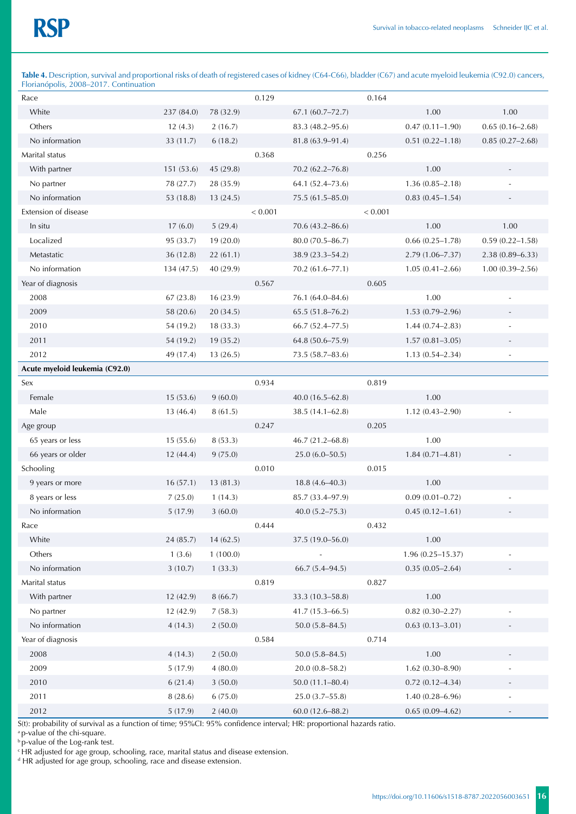Table 4. Description, survival and proportional risks of death of registered cases of kidney (C64-C66), bladder (C67) and acute myeloid leukemia (C92.0) cancers, Florianópolis, 2008–2017. Continuation

| $1$ fortampons, $2000 - 2017$ . Commutation |            |           |         |                     |         |                      |                          |
|---------------------------------------------|------------|-----------|---------|---------------------|---------|----------------------|--------------------------|
| Race                                        |            |           | 0.129   |                     | 0.164   |                      |                          |
| White                                       | 237 (84.0) | 78 (32.9) |         | $67.1(60.7 - 72.7)$ |         | 1.00                 | 1.00                     |
| Others                                      | 12(4.3)    | 2(16.7)   |         | 83.3 (48.2-95.6)    |         | $0.47(0.11 - 1.90)$  | $0.65(0.16 - 2.68)$      |
| No information                              | 33 (11.7)  | 6(18.2)   |         | $81.8(63.9 - 91.4)$ |         | $0.51(0.22 - 1.18)$  | $0.85(0.27-2.68)$        |
| Marital status                              |            |           | 0.368   |                     | 0.256   |                      |                          |
| With partner                                | 151 (53.6) | 45 (29.8) |         | $70.2(62.2 - 76.8)$ |         | 1.00                 |                          |
| No partner                                  | 78 (27.7)  | 28 (35.9) |         | 64.1 (52.4-73.6)    |         | $1.36(0.85 - 2.18)$  |                          |
| No information                              | 53 (18.8)  | 13(24.5)  |         | 75.5 (61.5-85.0)    |         | $0.83(0.45 - 1.54)$  |                          |
| Extension of disease                        |            |           | < 0.001 |                     | < 0.001 |                      |                          |
| In situ                                     | 17(6.0)    | 5(29.4)   |         | $70.6(43.2 - 86.6)$ |         | 1.00                 | 1.00                     |
| Localized                                   | 95 (33.7)  | 19(20.0)  |         | 80.0 (70.5-86.7)    |         | $0.66(0.25 - 1.78)$  | $0.59(0.22 - 1.58)$      |
| Metastatic                                  | 36 (12.8)  | 22(61.1)  |         | 38.9 (23.3-54.2)    |         | $2.79(1.06 - 7.37)$  | $2.38(0.89 - 6.33)$      |
| No information                              | 134 (47.5) | 40 (29.9) |         | 70.2 (61.6-77.1)    |         | $1.05(0.41 - 2.66)$  | $1.00(0.39 - 2.56)$      |
| Year of diagnosis                           |            |           | 0.567   |                     | 0.605   |                      |                          |
| 2008                                        | 67 (23.8)  | 16(23.9)  |         | 76.1 (64.0-84.6)    |         | 1.00                 |                          |
| 2009                                        | 58 (20.6)  | 20 (34.5) |         | $65.5(51.8 - 76.2)$ |         | $1.53(0.79-2.96)$    |                          |
| 2010                                        | 54 (19.2)  | 18(33.3)  |         | $66.7(52.4 - 77.5)$ |         | $1.44(0.74 - 2.83)$  |                          |
| 2011                                        | 54 (19.2)  | 19 (35.2) |         | 64.8 (50.6-75.9)    |         | $1.57(0.81 - 3.05)$  |                          |
| 2012                                        | 49 (17.4)  | 13(26.5)  |         | 73.5 (58.7-83.6)    |         | $1.13(0.54 - 2.34)$  | $\overline{\phantom{m}}$ |
| Acute myeloid leukemia (C92.0)              |            |           |         |                     |         |                      |                          |
| Sex                                         |            |           | 0.934   |                     | 0.819   |                      |                          |
| Female                                      | 15(53.6)   | 9(60.0)   |         | $40.0(16.5-62.8)$   |         | 1.00                 |                          |
| Male                                        | 13(46.4)   | 8(61.5)   |         | $38.5(14.1 - 62.8)$ |         | $1.12(0.43 - 2.90)$  |                          |
| Age group                                   |            |           | 0.247   |                     | 0.205   |                      |                          |
| 65 years or less                            | 15(55.6)   | 8(53.3)   |         | 46.7 (21.2-68.8)    |         | 1.00                 |                          |
| 66 years or older                           | 12 (44.4)  | 9(75.0)   |         | $25.0(6.0 - 50.5)$  |         | $1.84(0.71 - 4.81)$  |                          |
| Schooling                                   |            |           | 0.010   |                     | 0.015   |                      |                          |
| 9 years or more                             | 16(57.1)   | 13 (81.3) |         | $18.8(4.6 - 40.3)$  |         | 1.00                 |                          |
| 8 years or less                             | 7(25.0)    | 1(14.3)   |         | 85.7 (33.4-97.9)    |         | $0.09(0.01 - 0.72)$  |                          |
| No information                              | 5(17.9)    | 3(60.0)   |         | $40.0 (5.2 - 75.3)$ |         | $0.45(0.12 - 1.61)$  |                          |
| Race                                        |            |           | 0.444   |                     | 0.432   |                      |                          |
| White                                       | 24 (85.7)  | 14(62.5)  |         | 37.5 (19.0-56.0)    |         | 1.00                 |                          |
| Others                                      | 1(3.6)     | 1(100.0)  |         |                     |         | $1.96(0.25 - 15.37)$ |                          |
| No information                              | 3(10.7)    | 1(33.3)   |         | $66.7(5.4 - 94.5)$  |         | $0.35(0.05-2.64)$    |                          |
| Marital status                              |            |           | 0.819   |                     | 0.827   |                      |                          |
| With partner                                | 12 (42.9)  | 8(66.7)   |         | 33.3 (10.3-58.8)    |         | 1.00                 |                          |
| No partner                                  | 12 (42.9)  | 7(58.3)   |         | 41.7 (15.3-66.5)    |         | $0.82(0.30 - 2.27)$  |                          |
| No information                              | 4(14.3)    | 2(50.0)   |         | $50.0(5.8 - 84.5)$  |         | $0.63(0.13 - 3.01)$  |                          |
| Year of diagnosis                           |            |           | 0.584   |                     | 0.714   |                      |                          |
| 2008                                        | 4(14.3)    | 2(50.0)   |         | $50.0(5.8 - 84.5)$  |         | 1.00                 |                          |
| 2009                                        | 5(17.9)    | 4(80.0)   |         | $20.0(0.8 - 58.2)$  |         | $1.62(0.30 - 8.90)$  | $\overline{\phantom{m}}$ |
| 2010                                        | 6(21.4)    | 3(50.0)   |         | $50.0(11.1 - 80.4)$ |         | $0.72(0.12 - 4.34)$  |                          |
| 2011                                        | 8(28.6)    | 6(75.0)   |         | 25.0 (3.7-55.8)     |         | $1.40(0.28 - 6.96)$  | $\frac{1}{2}$            |
| 2012                                        | 5(17.9)    | 2(40.0)   |         | $60.0(12.6 - 88.2)$ |         | $0.65(0.09 - 4.62)$  |                          |

S(t): probability of survival as a function of time; 95%CI: 95% confidence interval; HR: proportional hazards ratio.

a p-value of the chi-square.

b p-value of the Log-rank test.

<sup>c</sup> HR adjusted for age group, schooling, race, marital status and disease extension.<br><sup>d</sup> HR adjusted for age group, schooling, race and disease extension.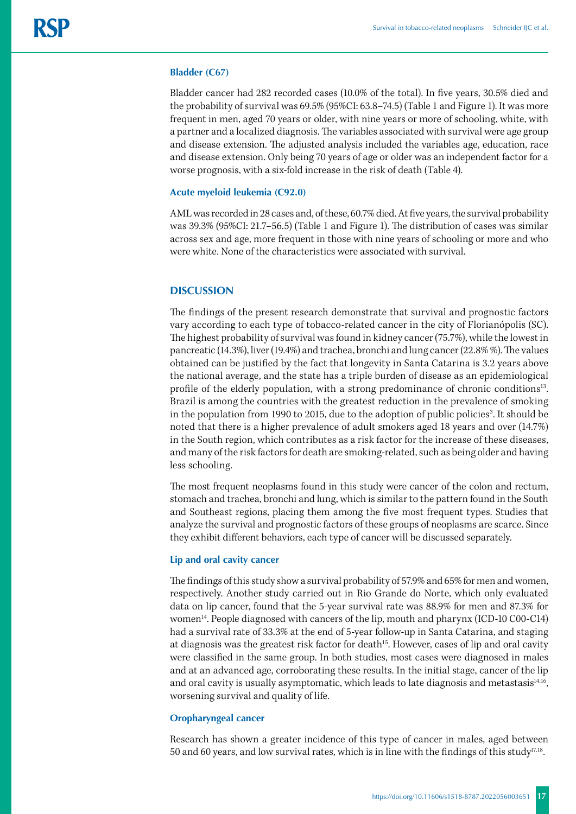#### **Bladder (C67)**

Bladder cancer had 282 recorded cases (10.0% of the total). In five years, 30.5% died and the probability of survival was 69.5% (95%CI: 63.8–74.5) (Table 1 and Figure 1). It was more frequent in men, aged 70 years or older, with nine years or more of schooling, white, with a partner and a localized diagnosis. The variables associated with survival were age group and disease extension. The adjusted analysis included the variables age, education, race and disease extension. Only being 70 years of age or older was an independent factor for a worse prognosis, with a six-fold increase in the risk of death (Table 4).

#### **Acute myeloid leukemia (C92.0)**

AML was recorded in 28 cases and, of these, 60.7% died. At five years, the survival probability was 39.3% (95%CI: 21.7–56.5) (Table 1 and Figure 1). The distribution of cases was similar across sex and age, more frequent in those with nine years of schooling or more and who were white. None of the characteristics were associated with survival.

# **DISCUSSION**

The findings of the present research demonstrate that survival and prognostic factors vary according to each type of tobacco-related cancer in the city of Florianópolis (SC). The highest probability of survival was found in kidney cancer (75.7%), while the lowest in pancreatic (14.3%), liver (19.4%) and trachea, bronchi and lung cancer (22.8% %). The values obtained can be justified by the fact that longevity in Santa Catarina is 3.2 years above the national average, and the state has a triple burden of disease as an epidemiological profile of the elderly population, with a strong predominance of chronic conditions<sup>13</sup>. Brazil is among the countries with the greatest reduction in the prevalence of smoking in the population from 1990 to 2015, due to the adoption of public policies<sup>3</sup>. It should be noted that there is a higher prevalence of adult smokers aged 18 years and over (14.7%) in the South region, which contributes as a risk factor for the increase of these diseases, and many of the risk factors for death are smoking-related, such as being older and having less schooling.

The most frequent neoplasms found in this study were cancer of the colon and rectum, stomach and trachea, bronchi and lung, which is similar to the pattern found in the South and Southeast regions, placing them among the five most frequent types. Studies that analyze the survival and prognostic factors of these groups of neoplasms are scarce. Since they exhibit different behaviors, each type of cancer will be discussed separately.

#### **Lip and oral cavity cancer**

The findings of this study show a survival probability of 57.9% and 65% for men and women, respectively. Another study carried out in Rio Grande do Norte, which only evaluated data on lip cancer, found that the 5-year survival rate was 88.9% for men and 87.3% for women14. People diagnosed with cancers of the lip, mouth and pharynx (ICD-10 C00-C14) had a survival rate of 33.3% at the end of 5-year follow-up in Santa Catarina, and staging at diagnosis was the greatest risk factor for death<sup>15</sup>. However, cases of lip and oral cavity were classified in the same group. In both studies, most cases were diagnosed in males and at an advanced age, corroborating these results. In the initial stage, cancer of the lip and oral cavity is usually asymptomatic, which leads to late diagnosis and metastasis $14.16$ , worsening survival and quality of life.

#### **Oropharyngeal cancer**

Research has shown a greater incidence of this type of cancer in males, aged between 50 and 60 years, and low survival rates, which is in line with the findings of this study<sup>17,18</sup>.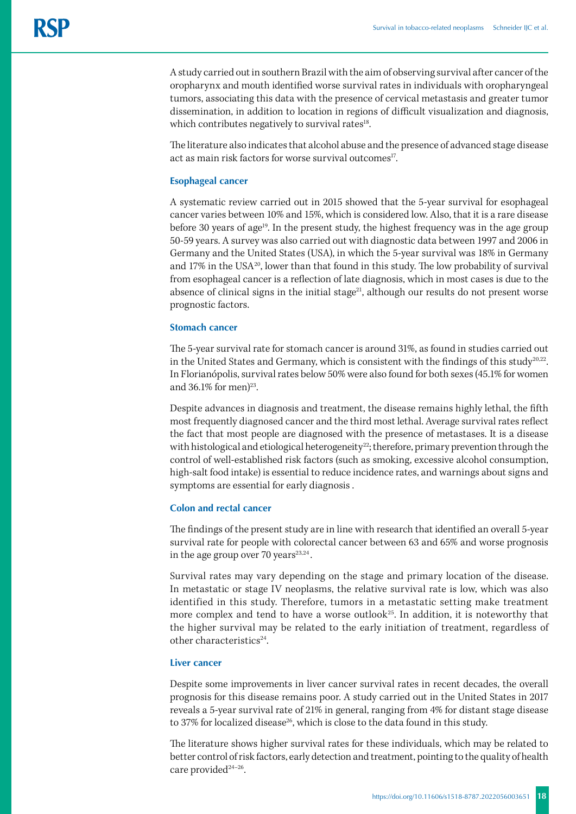A study carried out in southern Brazil with the aim of observing survival after cancer of the oropharynx and mouth identified worse survival rates in individuals with oropharyngeal tumors, associating this data with the presence of cervical metastasis and greater tumor dissemination, in addition to location in regions of difficult visualization and diagnosis, which contributes negatively to survival rates<sup>18</sup>.

The literature also indicates that alcohol abuse and the presence of advanced stage disease act as main risk factors for worse survival outcomes<sup>17</sup>.

## **Esophageal cancer**

A systematic review carried out in 2015 showed that the 5-year survival for esophageal cancer varies between 10% and 15%, which is considered low. Also, that it is a rare disease before 30 years of age<sup>19</sup>. In the present study, the highest frequency was in the age group 50-59 years. A survey was also carried out with diagnostic data between 1997 and 2006 in Germany and the United States (USA), in which the 5-year survival was 18% in Germany and 17% in the USA<sup>20</sup>, lower than that found in this study. The low probability of survival from esophageal cancer is a reflection of late diagnosis, which in most cases is due to the absence of clinical signs in the initial stage<sup>21</sup>, although our results do not present worse prognostic factors.

#### **Stomach cancer**

The 5-year survival rate for stomach cancer is around 31%, as found in studies carried out in the United States and Germany, which is consistent with the findings of this study<sup>20,22</sup>. In Florianópolis, survival rates below 50% were also found for both sexes (45.1% for women and  $36.1\%$  for men)<sup>23</sup>.

Despite advances in diagnosis and treatment, the disease remains highly lethal, the fifth most frequently diagnosed cancer and the third most lethal. Average survival rates reflect the fact that most people are diagnosed with the presence of metastases. It is a disease with histological and etiological heterogeneity<sup>22</sup>; therefore, primary prevention through the control of well-established risk factors (such as smoking, excessive alcohol consumption, high-salt food intake) is essential to reduce incidence rates, and warnings about signs and symptoms are essential for early diagnosis .

# **Colon and rectal cancer**

The findings of the present study are in line with research that identified an overall 5-year survival rate for people with colorectal cancer between 63 and 65% and worse prognosis in the age group over 70 years $23,24$ .

Survival rates may vary depending on the stage and primary location of the disease. In metastatic or stage IV neoplasms, the relative survival rate is low, which was also identified in this study. Therefore, tumors in a metastatic setting make treatment more complex and tend to have a worse outlook<sup>25</sup>. In addition, it is noteworthy that the higher survival may be related to the early initiation of treatment, regardless of other characteristics<sup>24</sup>.

# **Liver cancer**

Despite some improvements in liver cancer survival rates in recent decades, the overall prognosis for this disease remains poor. A study carried out in the United States in 2017 reveals a 5-year survival rate of 21% in general, ranging from 4% for distant stage disease to 37% for localized disease<sup>26</sup>, which is close to the data found in this study.

The literature shows higher survival rates for these individuals, which may be related to better control of risk factors, early detection and treatment, pointing to the quality of health care provided $24-26$ .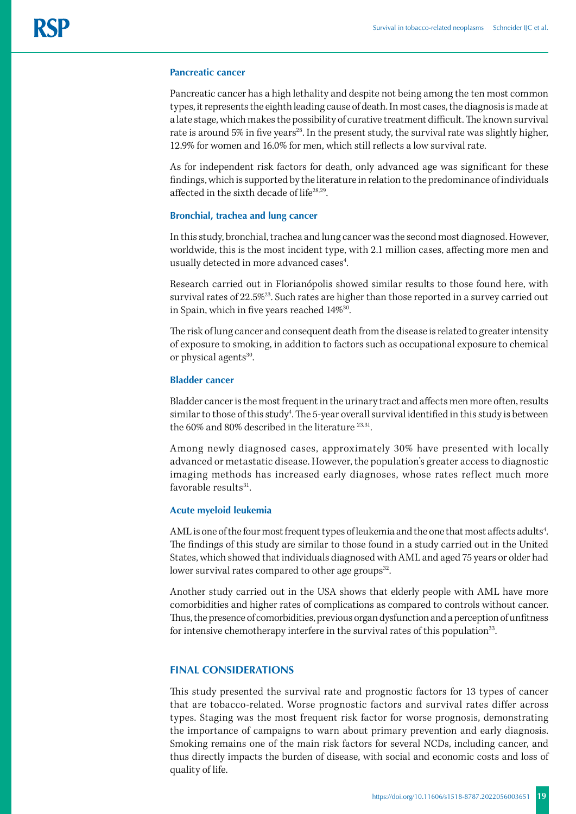#### **Pancreatic cancer**

Pancreatic cancer has a high lethality and despite not being among the ten most common types, it represents the eighth leading cause of death. In most cases, the diagnosis is made at a late stage, which makes the possibility of curative treatment difficult. The known survival rate is around 5% in five years<sup>28</sup>. In the present study, the survival rate was slightly higher, 12.9% for women and 16.0% for men, which still reflects a low survival rate.

As for independent risk factors for death, only advanced age was significant for these findings, which is supported by the literature in relation to the predominance of individuals affected in the sixth decade of life28,29.

# **Bronchial, trachea and lung cancer**

In this study, bronchial, trachea and lung cancer was the second most diagnosed. However, worldwide, this is the most incident type, with 2.1 million cases, affecting more men and usually detected in more advanced cases<sup>4</sup>. .

Research carried out in Florianópolis showed similar results to those found here, with survival rates of 22.5%<sup>23</sup>. Such rates are higher than those reported in a survey carried out in Spain, which in five years reached 14%30.

The risk of lung cancer and consequent death from the disease is related to greater intensity of exposure to smoking, in addition to factors such as occupational exposure to chemical or physical agents<sup>30</sup>.

# **Bladder cancer**

Bladder cancer is the most frequent in the urinary tract and affects men more often, results similar to those of this study<sup>4</sup>. The 5-year overall survival identified in this study is between the 60% and 80% described in the literature <sup>23,31</sup>.

Among newly diagnosed cases, approximately 30% have presented with locally advanced or metastatic disease. However, the population's greater access to diagnostic imaging methods has increased early diagnoses, whose rates reflect much more favorable results $31$ .

## **Acute myeloid leukemia**

AML is one of the four most frequent types of leukemia and the one that most affects adults<sup>4</sup>. The findings of this study are similar to those found in a study carried out in the United States, which showed that individuals diagnosed with AML and aged 75 years or older had lower survival rates compared to other age groups<sup>32</sup>.

Another study carried out in the USA shows that elderly people with AML have more comorbidities and higher rates of complications as compared to controls without cancer. Thus, the presence of comorbidities, previous organ dysfunction and a perception of unfitness for intensive chemotherapy interfere in the survival rates of this population<sup>33</sup>.

# **FINAL CONSIDERATIONS**

This study presented the survival rate and prognostic factors for 13 types of cancer that are tobacco-related. Worse prognostic factors and survival rates differ across types. Staging was the most frequent risk factor for worse prognosis, demonstrating the importance of campaigns to warn about primary prevention and early diagnosis. Smoking remains one of the main risk factors for several NCDs, including cancer, and thus directly impacts the burden of disease, with social and economic costs and loss of quality of life.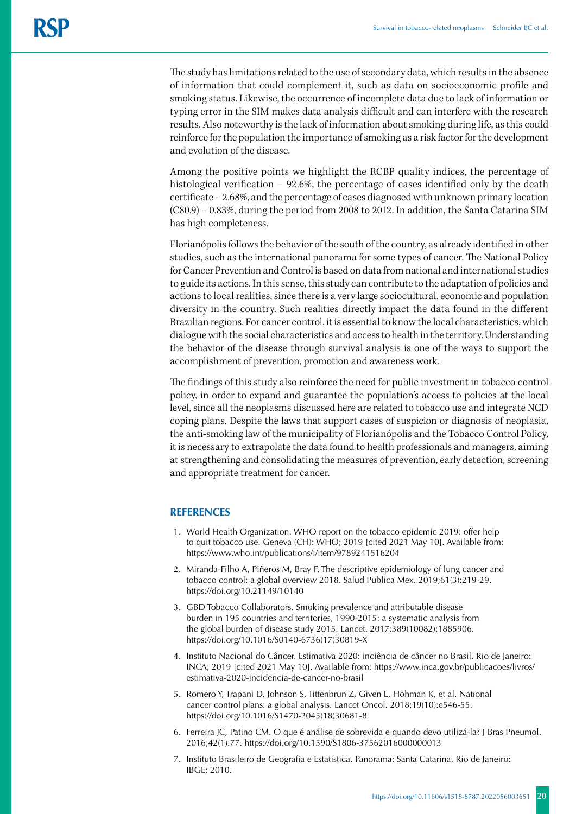The study has limitations related to the use of secondary data, which results in the absence of information that could complement it, such as data on socioeconomic profile and smoking status. Likewise, the occurrence of incomplete data due to lack of information or typing error in the SIM makes data analysis difficult and can interfere with the research results. Also noteworthy is the lack of information about smoking during life, as this could reinforce for the population the importance of smoking as a risk factor for the development and evolution of the disease.

Among the positive points we highlight the RCBP quality indices, the percentage of histological verification – 92.6%, the percentage of cases identified only by the death certificate – 2.68%, and the percentage of cases diagnosed with unknown primary location (C80.9) – 0.83%, during the period from 2008 to 2012. In addition, the Santa Catarina SIM has high completeness.

Florianópolis follows the behavior of the south of the country, as already identified in other studies, such as the international panorama for some types of cancer. The National Policy for Cancer Prevention and Control is based on data from national and international studies to guide its actions. In this sense, this study can contribute to the adaptation of policies and actions to local realities, since there is a very large sociocultural, economic and population diversity in the country. Such realities directly impact the data found in the different Brazilian regions. For cancer control, it is essential to know the local characteristics, which dialogue with the social characteristics and access to health in the territory. Understanding the behavior of the disease through survival analysis is one of the ways to support the accomplishment of prevention, promotion and awareness work.

The findings of this study also reinforce the need for public investment in tobacco control policy, in order to expand and guarantee the population's access to policies at the local level, since all the neoplasms discussed here are related to tobacco use and integrate NCD coping plans. Despite the laws that support cases of suspicion or diagnosis of neoplasia, the anti-smoking law of the municipality of Florianópolis and the Tobacco Control Policy, it is necessary to extrapolate the data found to health professionals and managers, aiming at strengthening and consolidating the measures of prevention, early detection, screening and appropriate treatment for cancer.

# **REFERENCES**

- 1. World Health Organization. WHO report on the tobacco epidemic 2019: offer help to quit tobacco use. Geneva (CH): WHO; 2019 [cited 2021 May 10]. Available from: https://www.who.int/publications/i/item/9789241516204
- 2. Miranda-Filho A, Piñeros M, Bray F. The descriptive epidemiology of lung cancer and tobacco control: a global overview 2018. Salud Publica Mex. 2019;61(3):219-29. https://doi.org/10.21149/10140
- 3. GBD Tobacco Collaborators. Smoking prevalence and attributable disease burden in 195 countries and territories, 1990-2015: a systematic analysis from the global burden of disease study 2015. Lancet. 2017;389(10082):1885906. https://doi.org/10.1016/S0140-6736(17)30819-X
- 4. Instituto Nacional do Câncer. Estimativa 2020: inciência de câncer no Brasil. Rio de Janeiro: INCA; 2019 [cited 2021 May 10]. Available from: https://www.inca.gov.br/publicacoes/livros/ estimativa-2020-incidencia-de-cancer-no-brasil
- 5. Romero Y, Trapani D, Johnson S, Tittenbrun Z, Given L, Hohman K, et al. National cancer control plans: a global analysis. Lancet Oncol. 2018;19(10):e546-55. https://doi.org/10.1016/S1470-2045(18)30681-8
- 6. Ferreira JC, Patino CM. O que é análise de sobrevida e quando devo utilizá-la? J Bras Pneumol. 2016;42(1):77. https://doi.org/10.1590/S1806-37562016000000013
- 7. Instituto Brasileiro de Geografia e Estatística. Panorama: Santa Catarina. Rio de Janeiro: IBGE; 2010.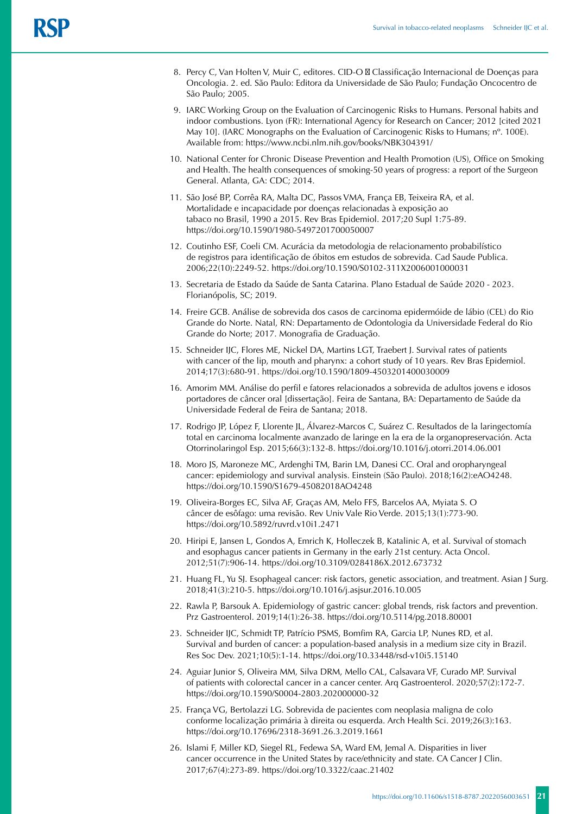- 8. Percy C, Van Holten V, Muir C, editores. CID-O Classificação Internacional de Doenças para Oncologia. 2. ed. São Paulo: Editora da Universidade de São Paulo; Fundação Oncocentro de São Paulo; 2005.
- 9. IARC Working Group on the Evaluation of Carcinogenic Risks to Humans. Personal habits and indoor combustions. Lyon (FR): International Agency for Research on Cancer; 2012 [cited 2021 May 10]. (IARC Monographs on the Evaluation of Carcinogenic Risks to Humans; n°. 100E). Available from: https://www.ncbi.nlm.nih.gov/books/NBK304391/
- 10. National Center for Chronic Disease Prevention and Health Promotion (US), Office on Smoking and Health. The health consequences of smoking-50 years of progress: a report of the Surgeon General. Atlanta, GA: CDC; 2014.
- 11. São José BP, Corrêa RA, Malta DC, Passos VMA, França EB, Teixeira RA, et al. Mortalidade e incapacidade por doenças relacionadas à exposição ao tabaco no Brasil, 1990 a 2015. Rev Bras Epidemiol. 2017;20 Supl 1:75-89. https://doi.org/10.1590/1980-5497201700050007
- 12. Coutinho ESF, Coeli CM. Acurácia da metodologia de relacionamento probabilístico de registros para identificação de óbitos em estudos de sobrevida. Cad Saude Publica. 2006;22(10):2249-52. https://doi.org/10.1590/S0102-311X2006001000031
- 13. Secretaria de Estado da Saúde de Santa Catarina. Plano Estadual de Saúde 2020 2023. Florianópolis, SC; 2019.
- 14. Freire GCB. Análise de sobrevida dos casos de carcinoma epidermóide de lábio (CEL) do Rio Grande do Norte. Natal, RN: Departamento de Odontologia da Universidade Federal do Rio Grande do Norte; 2017. Monografia de Graduação.
- 15. Schneider IJC, Flores ME, Nickel DA, Martins LGT, Traebert J. Survival rates of patients with cancer of the lip, mouth and pharynx: a cohort study of 10 years. Rev Bras Epidemiol. 2014;17(3):680-91. https://doi.org/10.1590/1809-4503201400030009
- 16. Amorim MM. Análise do perfil e fatores relacionados a sobrevida de adultos jovens e idosos portadores de câncer oral [dissertação]. Feira de Santana, BA: Departamento de Saúde da Universidade Federal de Feira de Santana; 2018.
- 17. Rodrigo JP, López F, Llorente JL, Álvarez-Marcos C, Suárez C. Resultados de la laringectomía total en carcinoma localmente avanzado de laringe en la era de la organopreservación. Acta Otorrinolaringol Esp. 2015;66(3):132-8. https://doi.org/10.1016/j.otorri.2014.06.001
- 18. Moro JS, Maroneze MC, Ardenghi TM, Barin LM, Danesi CC. Oral and oropharyngeal cancer: epidemiology and survival analysis. Einstein (São Paulo). 2018;16(2):eAO4248. https://doi.org/10.1590/S1679-45082018AO4248
- 19. Oliveira-Borges EC, Silva AF, Graças AM, Melo FFS, Barcelos AA, Myiata S. O câncer de esôfago: uma revisão. Rev Univ Vale Rio Verde. 2015;13(1):773-90. https://doi.org/10.5892/ruvrd.v10i1.2471
- 20. Hiripi E, Jansen L, Gondos A, Emrich K, Holleczek B, Katalinic A, et al. Survival of stomach and esophagus cancer patients in Germany in the early 21st century. Acta Oncol. 2012;51(7):906-14. https://doi.org/10.3109/0284186X.2012.673732
- 21. Huang FL, Yu SJ. Esophageal cancer: risk factors, genetic association, and treatment. Asian J Surg. 2018;41(3):210-5. https://doi.org/10.1016/j.asjsur.2016.10.005
- 22. Rawla P, Barsouk A. Epidemiology of gastric cancer: global trends, risk factors and prevention. Prz Gastroenterol. 2019;14(1):26-38. https://doi.org/10.5114/pg.2018.80001
- 23. Schneider IJC, Schmidt TP, Patrício PSMS, Bomfim RA, Garcia LP, Nunes RD, et al. Survival and burden of cancer: a population-based analysis in a medium size city in Brazil. Res Soc Dev. 2021;10(5):1-14. https://doi.org/10.33448/rsd-v10i5.15140
- 24. Aguiar Junior S, Oliveira MM, Silva DRM, Mello CAL, Calsavara VF, Curado MP. Survival of patients with colorectal cancer in a cancer center. Arq Gastroenterol. 2020;57(2):172-7. https://doi.org/10.1590/S0004-2803.202000000-32
- 25. França VG, Bertolazzi LG. Sobrevida de pacientes com neoplasia maligna de colo conforme localização primária à direita ou esquerda. Arch Health Sci. 2019;26(3):163. https://doi.org/10.17696/2318-3691.26.3.2019.1661
- 26. Islami F, Miller KD, Siegel RL, Fedewa SA, Ward EM, Jemal A. Disparities in liver cancer occurrence in the United States by race/ethnicity and state. CA Cancer J Clin. 2017;67(4):273-89. https://doi.org/10.3322/caac.21402